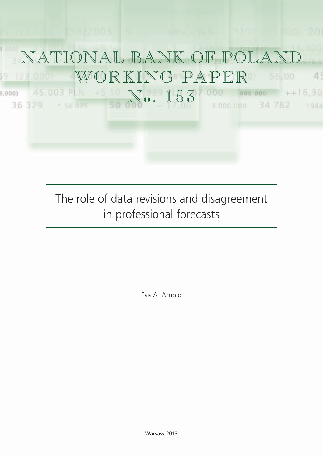

The role of data revisions and disagreement in professional forecasts

Eva A. Arnold

Warsaw 2013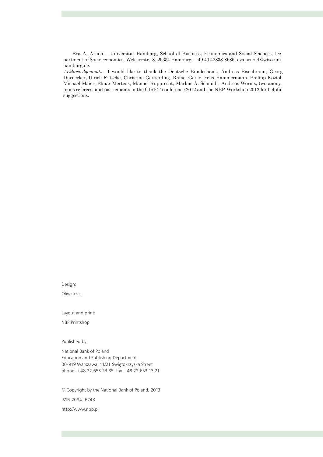Eva A. Arnold - Universität Hamburg, School of Business, Economics and Social Sciences, Department of Socioeconomics, Welckerstr. 8, 20354 Hamburg, +49 40 42838-8686, eva.arnold@wiso.unihamburg.de.

Acklowledgements: I would like to thank the Deutsche Bundesbank, Andreas Eisenbraun, Georg Dürnecker, Ulrich Fritsche, Christina Gerberding, Rafael Gerke, Felix Hammermann, Philipp Koziol, Michael Maier, Elmar Mertens, Manuel Rupprecht, Markus A. Schmidt, Andreas Worms, two anonymous referees, and participants in the CIRET conference 2012 and the NBP Workshop 2012 for helpful suggestions.

Design:

Oliwka s.c.

Layout and print:

NBP Printshop

Published by:

National Bank of Poland Education and Publishing Department 00-919 Warszawa, 11/21 Świętokrzyska Street phone: +48 22 653 23 35, fax +48 22 653 13 21

© Copyright by the National Bank of Poland, 2013 ISSN 2084–624X http://www.nbp.pl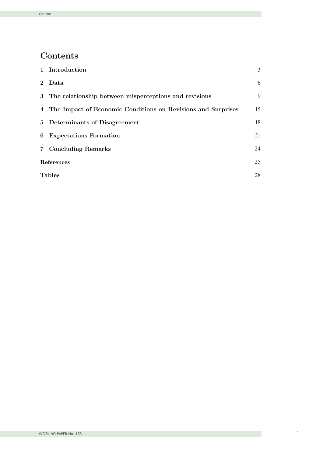## Contents

| Introduction<br>1                                                 | $\overline{3}$ |
|-------------------------------------------------------------------|----------------|
| Data<br>$\mathbf{2}^{\prime}$                                     | 6              |
| The relationship between misperceptions and revisions<br>3        | 9              |
| The Impact of Economic Conditions on Revisions and Surprises<br>4 | 15             |
| 5 <sup>5</sup><br>Determinants of Disagreement                    | 18             |
| <b>Expectations Formation</b><br>6                                | 21             |
| <b>Concluding Remarks</b><br>$\overline{7}$                       | 24             |
| References                                                        | 25             |
| <b>Tables</b>                                                     | 28             |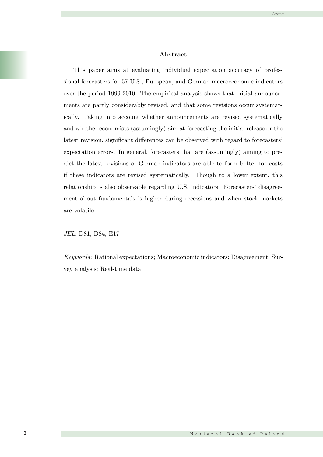#### Abstract

This paper aims at evaluating individual expectation accuracy of professional forecasters for 57 U.S., European, and German macroeconomic indicators over the period 1999-2010. The empirical analysis shows that initial announcements are partly considerably revised, and that some revisions occur systematically. Taking into account whether announcements are revised systematically and whether economists (assumingly) aim at forecasting the initial release or the latest revision, significant differences can be observed with regard to forecasters' expectation errors. In general, forecasters that are (assumingly) aiming to predict the latest revisions of German indicators are able to form better forecasts if these indicators are revised systematically. Though to a lower extent, this relationship is also observable regarding U.S. indicators. Forecasters' disagreement about fundamentals is higher during recessions and when stock markets are volatile.

JEL: D81, D84, E17

Keywords: Rational expectations; Macroeconomic indicators; Disagreement; Survey analysis; Real-time data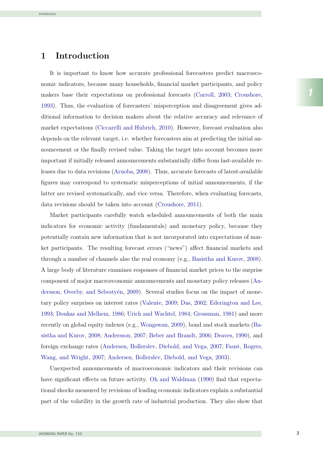## 1 Introduction

It is important to know how accurate professional forecasters predict macroeconomic indicators, because many households, financial market participants, and policy makers base their expectations on professional forecasts (Carroll, 2003; Croushore, 1993). Thus, the evaluation of forecasters' misperception and disagreement gives additional information to decision makers about the relative accuracy and relevance of market expectations (Ciccarelli and Hubrich, 2010). However, forecast evaluation also depends on the relevant target, i.e. whether forecasters aim at predicting the initial announcement or the finally revised value. Taking the target into account becomes more important if initially released announcements substantially differ from last-available releases due to data revisions (Aruoba, 2008). Thus, accurate forecasts of latest-available figures may correspond to systematic misperceptions of initial announcements, if the latter are revised systematically, and vice versa. Therefore, when evaluating forecasts, data revisions should be taken into account (Croushore, 2011).

Market participants carefully watch scheduled announcements of both the main indicators for economic activity (fundamentals) and monetary policy, because they potentially contain new information that is not incorporated into expectations of market participants. The resulting forecast errors ("news") affect financial markets and through a number of channels also the real economy (e.g., Basistha and Kurov, 2008). A large body of literature examines responses of financial market prices to the surprise component of major macroeconomic announcements and monetary policy releases (Andersson, Overby, and Sebesty<sup>en</sup>, 2009). Several studies focus on the impact of monetary policy surprises on interest rates (Valente, 2009; Das, 2002; Ederington and Lee, 1993; Doukas and Melhem, 1986; Urich and Wachtel, 1984; Grossman, 1981) and more recently on global equity indexes (e.g., Wongswan, 2009), bond and stock markets (Basistha and Kurov, 2008; Andersson, 2007; Beber and Brandt, 2006; Deaves, 1990), and foreign exchange rates (Andersen, Bollerslev, Diebold, and Vega, 2007; Faust, Rogers, Wang, and Wright, 2007; Andersen, Bollerslev, Diebold, and Vega, 2003).

Unexpected announcements of macroeconomic indicators and their revisions can have significant effects on future activity. Oh and Waldman (1990) find that expectational shocks measured by revisions of leading economic indicators explain a substantial part of the volatility in the growth rate of industrial production. They also show that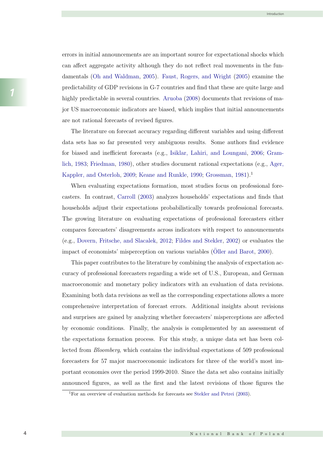errors in initial announcements are an important source for expectational shocks which can affect aggregate activity although they do not reflect real movements in the fundamentals (Oh and Waldman, 2005). Faust, Rogers, and Wright (2005) examine the predictability of GDP revisions in G-7 countries and find that these are quite large and highly predictable in several countries. Aruoba (2008) documents that revisions of major US macroeconomic indicators are biased, which implies that initial announcements are not rational forecasts of revised figures.

The literature on forecast accuracy regarding different variables and using different data sets has so far presented very ambiguous results. Some authors find evidence for biased and inefficient forecasts (e.g., Isiklar, Lahiri, and Loungani, 2006; Gramlich, 1983; Friedman, 1980), other studies document rational expectations (e.g., Ager, Kappler, and Osterloh, 2009; Keane and Runkle, 1990; Grossman, 1981).<sup>1</sup>

When evaluating expectations formation, most studies focus on professional forecasters. In contrast, Carroll (2003) analyzes households' expectations and finds that households adjust their expectations probabilistically towards professional forecasts. The growing literature on evaluating expectations of professional forecasters either compares forecasters' disagreements across indicators with respect to announcements (e.g., Dovern, Fritsche, and Slacalek, 2012; Fildes and Stekler, 2002) or evaluates the impact of economists' misperception on various variables (Oller and Barot, 2000).

This paper contributes to the literature by combining the analysis of expectation accuracy of professional forecasters regarding a wide set of U.S., European, and German macroeconomic and monetary policy indicators with an evaluation of data revisions. Examining both data revisions as well as the corresponding expectations allows a more comprehensive interpretation of forecast errors. Additional insights about revisions and surprises are gained by analyzing whether forecasters' misperceptions are affected by economic conditions. Finally, the analysis is complemented by an assessment of the expectations formation process. For this study, a unique data set has been collected from Bloomberg, which contains the individual expectations of 509 professional forecasters for 57 major macroeconomic indicators for three of the world's most important economies over the period 1999-2010. Since the data set also contains initially announced figures, as well as the first and the latest revisions of those figures the

<sup>&</sup>lt;sup>1</sup>For an overview of evaluation methods for forecasts see Stekler and Petrei (2003).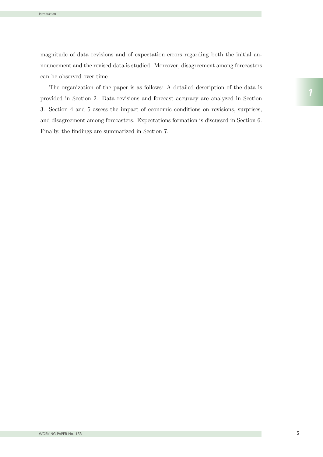magnitude of data revisions and of expectation errors regarding both the initial announcement and the revised data is studied. Moreover, disagreement among forecasters can be observed over time.

The organization of the paper is as follows: A detailed description of the data is provided in Section 2. Data revisions and forecast accuracy are analyzed in Section 3. Section 4 and 5 assess the impact of economic conditions on revisions, surprises, and disagreement among forecasters. Expectations formation is discussed in Section 6. Finally, the findings are summarized in Section 7.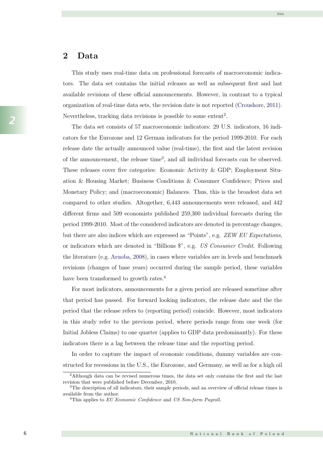#### 2 Data

This study uses real-time data on professional forecasts of macroeconomic indicators. The data set contains the initial releases as well as subsequent first and last available revisions of these official announcements. However, in contrast to a typical organization of real-time data sets, the revision date is not reported (Croushore, 2011). Nevertheless, tracking data revisions is possible to some extent<sup>2</sup>.

The data set consists of 57 macroeconomic indicators: 29 U.S. indicators, 16 indicators for the Eurozone and 12 German indicators for the period 1999-2010. For each release date the actually announced value (real-time), the first and the latest revision of the announcement, the release time<sup>3</sup>, and all individual forecasts can be observed. These releases cover five categories: Economic Activity & GDP; Employment Situation & Housing Market; Business Conditions & Consumer Confidence; Prices and Monetary Policy; and (macroeconomic) Balances. Thus, this is the broadest data set compared to other studies. Altogether, 6,443 announcements were released, and 442 different firms and 509 economists published 259,300 individual forecasts during the period 1999-2010. Most of the considered indicators are denoted in percentage changes, but there are also indices which are expressed as "Points", e.g. ZEW EU Expectations, or indicators which are denoted in "Billions \$", e.g. US Consumer Credit. Following the literature (e.g. Aruoba, 2008), in cases where variables are in levels and benchmark revisions (changes of base years) occurred during the sample period, these variables have been transformed to growth rates.<sup>4</sup>

For most indicators, announcements for a given period are released sometime after that period has passed. For forward looking indicators, the release date and the the period that the release refers to (reporting period) coincide. However, most indicators in this study refer to the previous period, where periods range from one week (for Initial Jobless Claims) to one quarter (applies to GDP data predominantly). For these indicators there is a lag between the release time and the reporting period.

In order to capture the impact of economic conditions, dummy variables are constructed for recessions in the U.S., the Eurozone, and Germany, as well as for a high oil

<sup>2</sup>Although data can be revised numerous times, the data set only contains the first and the last revision that were published before December, 2010.

<sup>3</sup>The description of all indicators, their sample periods, and an overview of official release times is available from the author.

<sup>&</sup>lt;sup>4</sup>This applies to  $EU$  Economic Confidence and US Non-farm Payroll.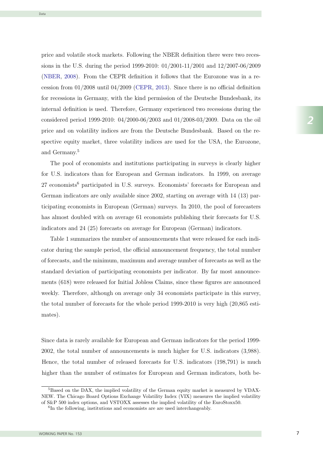price and volatile stock markets. Following the NBER definition there were two recessions in the U.S. during the period 1999-2010:  $01/2001$ -11/2001 and  $12/2007$ -06/2009 (NBER, 2008). From the CEPR definition it follows that the Eurozone was in a recession from  $01/2008$  until  $04/2009$  (CEPR, 2013). Since there is no official definition for recessions in Germany, with the kind permission of the Deutsche Bundesbank, its internal definition is used. Therefore, Germany experienced two recessions during the considered period 1999-2010:  $04/2000-06/2003$  and  $01/2008-03/2009$ . Data on the oil price and on volatility indices are from the Deutsche Bundesbank. Based on the respective equity market, three volatility indices are used for the USA, the Eurozone, and Germany.<sup>5</sup> product matrix  $\frac{1}{200}$  and  $\frac{1}{200}$  and  $\frac{1}{200}$  and  $\frac{1}{200}$  and  $\frac{1}{200}$   $\frac{1}{2000}$  $\left($  $\frac{1}{2}$  ( $\frac{1}{2}$   $\frac{1}{2}$   $\frac{1}{2}$   $\frac{1}{2}$   $\frac{1}{2}$   $\frac{1}{2}$   $\frac{1}{2}$   $\frac{1}{2}$   $\frac{1}{2}$   $\frac{1}{2}$   $\frac{1}{2}$   $\frac{1}{2}$   $\frac{1}{2}$   $\frac{1}{2}$   $\frac{1}{2}$   $\frac{1}{2}$   $\frac{1}{2}$   $\frac{1}{2}$   $\frac{1}{2}$   $\frac{1}{2}$   $\frac{1$  $\frac{1}{\sqrt{2000 \text{ m}} \cdot \frac{1}{\sqrt{2000}} \cdot \frac{1}{\sqrt{2000}} \cdot \frac{1}{\sqrt{2000}} \cdot \frac{1}{\sqrt{2000}} \cdot \frac{1}{\sqrt{2000}} \cdot \frac{1}{\sqrt{2000}} \cdot \frac{1}{\sqrt{2000}} \cdot \frac{1}{\sqrt{2000}} \cdot \frac{1}{\sqrt{2000}} \cdot \frac{1}{\sqrt{2000}} \cdot \frac{1}{\sqrt{2000}} \cdot \frac{1}{\sqrt{2000}} \cdot \frac{1}{\sqrt{2000}} \cdot \frac{1}{\$ correction from 0.01 many, when the ning permission of the Deutsche Dundesbank, has from a common is about Therefore, commany experienced two recessions during the  $\frac{1}{2000}$  internal definition  $\frac{1}{2000}$   $\frac{1}{2000}$   $\frac{1}{2000}$  and  $\frac{1}{2000}$   $\frac{1}{2000}$ . During the one price and on volumny indices are from the Deutsche Bandesbank. Based on the reprocesse equity indicity three solutinty indices are doed for the opti, the Larozone, spectrum extensive extensive indices are used for the USA, the European for the USA, the European for the Euro

The pool of economists and institutions participating in surveys is clearly higher for U.S. indicators than for European and German indicators. In 1999, on average 27 economists<sup>6</sup> participated in U.S. surveys. Economists' forecasts for European and German indicators are only available since 2002, starting on average with  $14$  (13) participating economists in European (German) surveys. In 2010, the pool of forecasters has almost doubled with on average 61 economists publishing their forecasts for U.S. indicators and 24 (25) forecasts on average for European (German) indicators. The poor of The pool interesting and interesting indications. In 1000, on average for Company paradigraphy in  $\sigma$ . But regist. Economical forecases for European and  $\alpha$ <sub>27</sub> equilibrium indicators are only available since 2002, starting on average with 14 (10) par-German indicators are only and  $\alpha$  are  $\alpha$  and  $\alpha$  are  $\alpha$  and  $\alpha$  are position of the position of the process of the position of the position of the position of the position of the position of the position of the pos the entropy doubled with on average of economists publishing their forecasts for  $\sigma$ . hardcatch and  $21$  (20) forecasts on average for European (German) indicately.

Table 1 summarizes the number of announcements that were released for each indicator during the sample period, the official announcement frequency, the total number of forecasts, and the minimum, maximum and average number of forecasts as well as the standard deviation of participating economists per indicator. By far most announcements (618) were released for Initial Jobless Claims, since these figures are announced weekly. Therefore, although on average only 34 economists participate in this survey, the total number of forecasts for the whole period 1999-2010 is very high  $(20,865 \text{ esti-}$ mates). Indicators and 24 (25) for a 24 (25) for European (Germanical Corporation and 24 (CF) indicators. It during the sample period, the official announcement frequency, the total flamper cator during the sample period, the sample period, the official and the total number of the condition of the total number of the total number of the total number of the condition of the total number of the condition of the of forecasts and the minimum and the minimum and average number of forecasts and all and all and all as the minimum and and average number of  $\mu$ standard deviation of participation of participation of participating and distribution weenly. Therefore, annough on average only of economical participate in this partely, who good humber of forecases for the whole period 1000 2010 is very high (20,000 con $t_{\text{max}}$ 

Since data is rarely available for European and German indicators for the period 1999- $2002$ , the total number of announcements is much higher for U.S. indicators  $(3,988)$ . Hence, the total number of released forecasts for U.S. indicators (198,791) is much fier than the number of estimates for European and German muicators, both be-NEW. The Chicago Board Options Exchange Volatility Index (VIX) measures the implied volatility nigher than the number of estimates for European and German indicators, the input Since data is rarely available for European and German indicators for the period 1999 higher than the number of estimates for European and German indicators, both be-

cause of more U.S. announcements and because of the larger pool of economists that

Data

 $\overline{\text{B}}$  5Based on the DAX, the implied volatility of the German equity market is measured by VDAX-Dased on the DAX, the implied volatility of the German equity market is measured by VDAX-<br>NEW. The Chicago Board Options Exchange Volatility Index (VIX) measures the implied volatility 7 of S&P 500 index options, and VSTOXX assesses the implied volatility of the EuroStoxx50.

 $^{6}$ In the following, institutions and economists are are used interchangeably.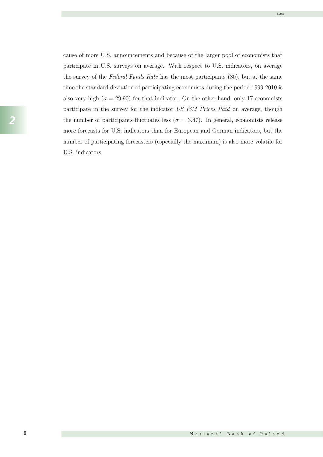Data

cause of more U.S. announcements and because of the larger pool of economists that participate in U.S. surveys on average. With respect to U.S. indicators, on average the survey of the Federal Funds Rate has the most participants (80), but at the same time the standard deviation of participating economists during the period 1999-2010 is also very high ( $\sigma = 29.90$ ) for that indicator. On the other hand, only 17 economists participate in the survey for the indicator US ISM Prices Paid on average, though the number of participants fluctuates less ( $\sigma = 3.47$ ). In general, economists release more forecasts for U.S. indicators than for European and German indicators, but the number of participating forecasters (especially the maximum) is also more volatile for U.S. indicators.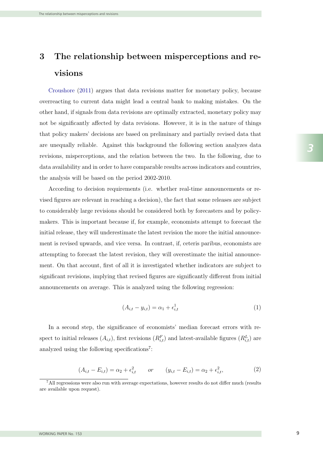# 3 The relationship between misperceptions and revisions

Croushore (2011) argues that data revisions matter for monetary policy, because overreacting to current data might lead a central bank to making mistakes. On the other hand, if signals from data revisions are optimally extracted, monetary policy may not be significantly affected by data revisions. However, it is in the nature of things that policy makers' decisions are based on preliminary and partially revised data that are unequally reliable. Against this background the following section analyzes data revisions, misperceptions, and the relation between the two. In the following, due to data availability and in order to have comparable results across indicators and countries, the analysis will be based on the period 2002-2010.

According to decision requirements (i.e. whether real-time announcements or revised figures are relevant in reaching a decision), the fact that some releases are subject to considerably large revisions should be considered both by forecasters and by policymakers. This is important because if, for example, economists attempt to forecast the initial release, they will underestimate the latest revision the more the initial announcement is revised upwards, and vice versa. In contrast, if, ceteris paribus, economists are attempting to forecast the latest revision, they will overestimate the initial announcement. On that account, first of all it is investigated whether indicators are subject to significant revisions, implying that revised figures are significantly different from initial announcements on average. This is analyzed using the following regression:

$$
(A_{i,t} - y_{i,t}) = \alpha_1 + \epsilon_{i,t}^1 \tag{1}
$$

In a second step, the significance of economists' median forecast errors with respect to initial releases  $(A_{i,t})$ , first revisions  $(R_{i,t}^F)$  and latest-available figures  $(R_{i,t}^L)$  are analyzed using the following specifications<sup>7</sup>:

$$
(A_{i,t} - E_{i,t}) = \alpha_2 + \epsilon_{i,t}^2 \qquad or \qquad (y_{i,t} - E_{i,t}) = \alpha_2 + \epsilon_{i,t}^2,
$$
 (2)

<sup>7</sup>All regressions were also run with average expectations, however results do not differ much (results are available upon request).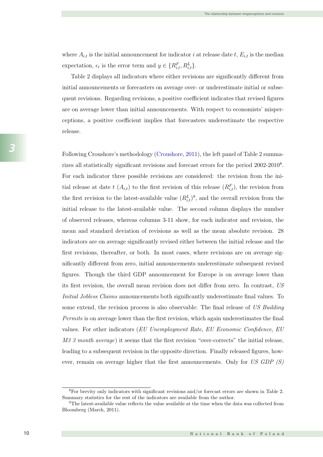where  $A_{i,t}$  is the initial announcement for indicator i at release date t,  $E_{i,t}$  is the median expectation,  $\epsilon_t$  is the error term and  $y \in \{R_{i,t}^F, R_{i,t}^L\}$ . where Ai,t is the initial announcement for indicator i at release date t, Ei,t is the median expectation,  $\epsilon$  is the error term and  $y \in \left(DF, DL\right)$ . expectation,  $\epsilon_t$  is the error term and  $y \in \{R_{i,t}^t, R_{i,t}^t\}$ .

Table 2 displays all indicators where either revisions are significantly different from initial announcements or forecasters on average over- or underestimate initial or subsequent revisions. Regarding revisions, a positive coefficient indicates that revised figures are on average lower than initial announcements. With respect to economists' misperceptions, a positive coefficient implies that forecasters underestimate the respective release. Table 2 displays all indicators where  $\zeta$  different from  $\zeta$  different from  $\zeta$  are significantly different from  $\zeta$ initial announcements or forecasters on average over- or underestimate initial or subsequent revisions. Regarding revisions, a positive coefficient indicates that revised figures are on average lower than initial announcements. With respect to economists' misperceptions, a positive coefficient implies that forecasters underestimate the respective release. Table 2 displays all indicators where either revisi are on average lower than initial announcements. With respect to economists' misperceptions, a positive coefficient implies that forecasters underestimate the respective  $relcase.$ 

Following Croushore's methodology (Croushore, 2011), the left panel of Table 2 summarizes all statistically significant revisions and forecast errors for the period 2002-2010<sup>8</sup>. For each indicator three possible revisions are considered: the revision from the initial release at date the first release  $\binom{n_i(t)}{t+1}$ , the revision from  $\binom{n_i(t)}{t+1}$ , the revision from from  $\binom{n_i(t)}{t+1}$  $t_{\ell}$  $i, t$ , and the overall revision from the overall revision from the overall revision from the overall revision from the  $i$ initial release to the latest-available value. The second column displays the number of observed releases, whereas columns 3-11 show, for each indicator and revision, the mean and standard deviation of revisions as well as the mean absolute revision. 28 indicators are on average significantly revised either between the initial release and the first revisions, thereafter, or both. In most cases, where revisions are on average significantly different from zero, initial announcements underestimate subsequent revised figures. Though the third GDP announcement for Europe is on average lower than its first revision, the overall mean revision does not differ from zero. In contrast, US Initial Jobless Claims announcements both significantly underestimate final values. To some extend, the revision process is also observable: The final release of US Building Permits is on average lower than the first revision, which again underestimates the final values. For other indicators (EU Unemployment Rate, EU Economic Confidence, EU M3 3 month average) it seems that the first revision "over-corrects" the initial release, leading to a subsequent revision in the opposite direction. Finally released figures, however, remain on average higher that the first announcements. Only for US GDP (S)  $\operatorname{Following}$   $\operatorname{Croushore'}$ s methodology  $(\operatorname{Croushore}, 2011),$  the left panel of  $\operatorname{Table} 2$  summarizes all statistically significant revisions and forecast errors for the period 2002-2010<sup>8</sup>. For each indicator three possible revisions are considered: the revision from the initial release at date  $t(A_{i,t})$  to the first revision of this release  $(R_{i,t}^F)$ , the revision from the first revision to the latest-available value  $(R_{i,t}^L)^9$ , and the overall revision from the initial release to the latest-available value. The second column displays the number of observed releases, whereas columns 3-11 show, for each indicator and revision, the mean and standard deviation of revisions as well as the mean absolute revision. 28 indicators are on average significantly revised either between the initial release and the first revisions, thereafter, or both. In most cases, where revisions are on average significantly different from zero, initial announcements underestimate subsequent revised figures. Though the third GDP announcement for Europe is on average lower than its first revision, the overall mean revision does not differ from zero. In contrast,  $US$ Initial Jobless Claims announcements both significantly underestimate final values. To some extend, the revision process is also observable: The final release of  $US$  Building Permits is on average lower than the first revision, which again underestimates the final values. For other indicators ( $EU$  Unemployment Rate,  $EU$  Economic Confidence,  $EU$  $M3$  3 month average) it seems that the first revision "over-corrects" the initial release, leading to a subsequent revision in the opposite direction. Finally released figures, however, remain on average higher that the first announcements. Only for US GDP  $(S)$ tial releases at data t (A) to the first revision of this release ( $D^F$ ). the period from

<sup>9</sup>The latest-available value reflects the value available at the time when the data was collected from

Summary statistics for the rest of the indicators are available from the author.

*3*

 ${}^{8}$ For brevity only indicators with significant revisions and/or forecast errors are shown in Table 2. Summary statistics for the rest of the indicators are available from the author.

<sup>9</sup>The latest-available value reflects the value available at the time when the data was collected from Bloomberg (March, 2011).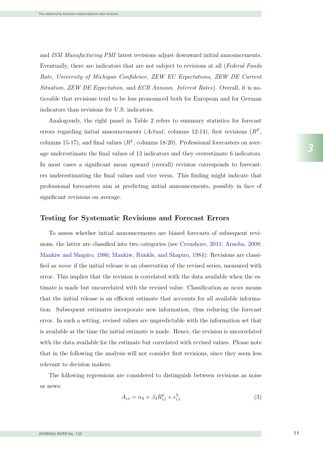and ISM Manufacturing PMI latest revisions adjust downward initial announcements. Eventually, there are indicators that are not subject to revisions at all (Federal Funds Rate, University of Michigan Confidence, ZEW EU Expectations, ZEW DE Current Situation, ZEW DE Expectation, and ECB Announ. Interest Rates). Overall, it is noticeable that revisions tend to be less pronounced both for European and for German indicators than revisions for U.S. indicators.

Analogously, the right panel in Table 2 refers to summary statistics for forecast errors regarding initial announcements (Actual, columns 12-14), first revisions  $(R^F,$ columns 15-17), and final values  $(R<sup>L</sup>$ , columns 18-20). Professional forecasters on average underestimate the final values of 13 indicators and they overestimate 6 indicators. In most cases a significant mean upward (overall) revision corresponds to forecasters underestimating the final values and vice versa. This finding might indicate that professional forecasters aim at predicting initial announcements, possibly in face of significant revisions on average.

#### Testing for Systematic Revisions and Forecast Errors

To assess whether initial announcements are biased forecasts of subsequent revisions, the latter are classified into two categories (see Croushore, 2011; Aruoba, 2008; Mankiw and Shapiro, 1986; Mankiw, Runkle, and Shapiro, 1984): Revisions are classified as *noise* if the initial release is an observation of the revised series, measured with error. This implies that the revision is correlated with the data available when the estimate is made but uncorrelated with the revised value. Classification as *news* means that the initial release is an efficient estimate that accounts for all available information. Subsequent estimates incorporate new information, thus reducing the forecast error. In such a setting, revised values are unpredictable with the information set that is available at the time the initial estimate is made. Hence, the revision is uncorrelated with the data available for the estimate but correlated with revised values. Please note that in the following the analysis will not consider first revisions, since they seem less relevant to decision makers.

The following regressions are considered to distinguish between revisions as noise or news:

$$
A_{i,t} = \alpha_3 + \beta_3 R_{i,t}^L + \epsilon_{i,t}^3 \tag{3}
$$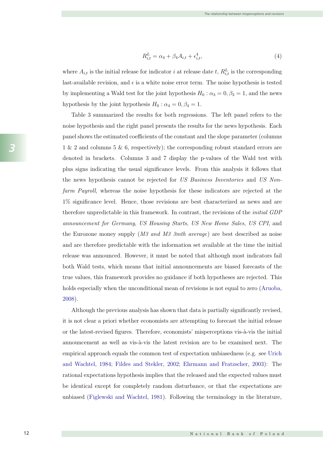$$
R_{i,t}^L = \alpha_4 + \beta_4 A_{i,t} + \epsilon_{i,t}^4,\tag{4}
$$

where  $A_{i,t}$  is the initial release for indicator i at release date t,  $R_{i,t}^L$  is the corresponding last-available revision, and  $\epsilon$  is a white noise error term. The noise hypothesis is tested by implementing a Wald test for the joint hypothesis  $H_0$ :  $\alpha_3 = 0, \beta_3 = 1$ , and the news hypothesis by the joint hypothesis  $H_0$ :  $\alpha_4 = 0, \beta_4 = 1$ .

Table 3 summarized the results for both regressions. The left panel refers to the noise hypothesis and the right panel presents the results for the news hypothesis. Each panel shows the estimated coefficients of the constant and the slope parameter (columns  $1 \& 2$  and columns 5  $\& 6$ , respectively); the corresponding robust standard errors are denoted in brackets. Columns 3 and 7 display the p-values of the Wald test with plus signs indicating the usual significance levels. From this analysis it follows that the news hypothesis cannot be rejected for US Business Inventories and US Nonfarm Payroll, whereas the noise hypothesis for these indicators are rejected at the  $1\%$  significance level. Hence, those revisions are best characterized as news and are therefore unpredictable in this framework. In contrast, the revisions of the *initial GDP* announcement for Germany, US Housing Starts, US New Home Sales, US CPI, and the Eurozone money supply (*M3 and M3 3mth average*) are best described as noise and are therefore predictable with the information set available at the time the initial release was announced. However, it must be noted that although most indicators fail both Wald tests, which means that initial announcements are biased forecasts of the true values, this framework provides no guidance if both hypotheses are rejected. This holds especially when the unconditional mean of revisions is not equal to zero (Aruoba, 2008).

Although the previous analysis has shown that data is partially significantly revised, it is not clear a priori whether economists are attempting to forecast the initial release or the latest-revised figures. Therefore, economists' misperceptions vis-à-vis the initial or  $\alpha$ announcement as well as vis-à-vis the latest revision are to be examined next. The empirical approach equals the common test of expectation unbiasedness (e.g. see Urich and Wachtel, 1984; Fildes and Stekler, 2002; Ehrmann and Fratzscher, 2003): The rational expectations hypothesis implies that the released and the expected values must be identical except for completely random disturbance, or that the expectations are unbiased (Figlewski and Wachtel, 1981). Following the terminology in the literature,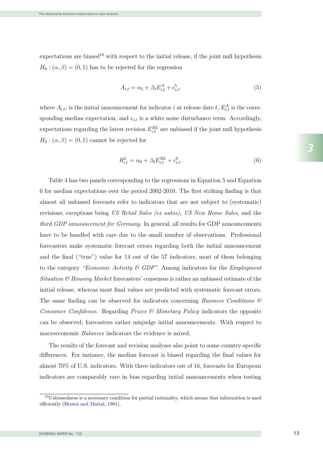$\alpha$  expectations are biased<sup>10</sup> with respect to the initial release, if the joint null hypothesis  $H_0: (\alpha, \beta) = (0, 1)$  has to be rejected for the regression ion and the set of  $\sim$ 

$$
A_{i,t} = \alpha_5 + \beta_5 E_{i,t}^A + \epsilon_{i,t}^5,\tag{5}
$$

where  $A_{i,t}$ , is the initial announcement for indicator *i* at release date *t*,  $E_{i,t}^{A}$  is the corresponding median expectation, and  $\epsilon_{i,t}$  is a white noise disturbance term. Accordingly, expectations regarding the latest revision  $E_{i,t}^{RL}$  are unbiased if the joint null hypothesis  $H_0: (\alpha, \beta) = (0, 1)$  cannot be rejected for

$$
R_{i,t}^{L} = \alpha_6 + \beta_6 E_{i,t}^{RL} + \epsilon_{i,t}^6.
$$
 (6)

Table 4 has two panels corresponding to the regressions in Equation 5 and Equation  $6$  for median expectations over the period 2002-2010. The first striking finding is that Table 4 has two panels corresponding to the regressions in Equation 5 and Equation<br>6 for median expectations over the period 2002-2010. The first striking finding is that<br>almost all unbiased forecasts refer to indicators t revisions; exceptions being US Retail Sales (ex autos), US New Home Sales, and the third GDP announcement for Germany. In general, all results for GDP announcements have to be handled with care due to the small number of observations. Professional forecasters make systematic forecast errors regarding both the initial announcement and the final ("true") value for 14 out of the 57 indicators, most of them belonging to the category "Economic Activity  $\mathcal B$  GDP". Among indicators for the *Employment* Situation  $\&$  Housing Market forecasters' consensus is rather an unbiased estimate of the initial release, whereas most final values are predicted with systematic forecast errors.<br>The same finding can be observed for indicators concerning *Business Conditions*  $\mathcal{C}$ The same finding can be observed for indicators concerning *Business Conditions*  $\mathcal{E}$ Consumer Confidence. Regarding Prices  $\mathcal C$  Monetary Policy indicators the opposite can be observed; forecasters rather misjudge initial announcements. With respect to macroeconomic *Balances* indicators the evidence is mixed. revisions; exceptions being US Retail Sales (ex autos), US New Home Sales, and the<br>third GDP announcement for Germany. In general, all results for GDP announcements<br>have to be handled with care due to the small number of o

The results of the forecast and revision analyses also point to some country-specific almost 70% of U.S. indicators. With three indicators out of 16, forecasts for European indicators are comparably rare in bias regarding initial announcements when testing differences. For instance, the median forecast is biased regarding the final values for

 $10$ Unbiasedness is a necessary condition for partial rationality, which means that information is used efficiently (Brown and Maital, 1981).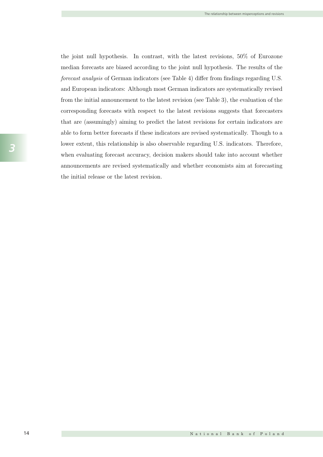the joint null hypothesis. In contrast, with the latest revisions, 50% of Eurozone median forecasts are biased according to the joint null hypothesis. The results of the forecast analysis of German indicators (see Table 4) differ from findings regarding U.S. and European indicators: Although most German indicators are systematically revised from the initial announcement to the latest revision (see Table 3), the evaluation of the corresponding forecasts with respect to the latest revisions suggests that forecasters that are (assumingly) aiming to predict the latest revisions for certain indicators are able to form better forecasts if these indicators are revised systematically. Though to a lower extent, this relationship is also observable regarding U.S. indicators. Therefore, when evaluating forecast accuracy, decision makers should take into account whether announcements are revised systematically and whether economists aim at forecasting the initial release or the latest revision.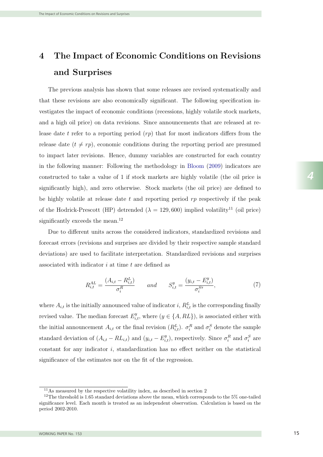## 4 The Impact of Economic Conditions on Revisions and Surprises  $\mathcal{A} = \mathcal{A} \cup \mathcal{A}$  The Impact of Economic Conditions on  $\mathcal{A} = \mathcal{A} \cup \mathcal{A}$

The previous analysis has shown that some releases are revised systematically and that these revisions are also economically significant. The following specification investigates the impact of economic conditions (recessions, highly volatile stock markets, and a high oil price) on data revisions. Since announcements that are released at release date t refer to a reporting period  $(rp)$  that for most indicators differs from the release date  $(t \neq rp)$ , economic conditions during the reporting period are presumed to impact later revisions. Hence, dummy variables are constructed for each country in the following manner: Following the methodology in Bloom (2009) indicators are constructed to take a value of 1 if stock markets are highly volatile (the oil price is significantly high), and zero otherwise. Stock markets (the oil price) are defined to be highly volatile at release date  $t$  and reporting period  $rp$  respectively if the peak of the Hodrick-Prescott (HP) detrended ( $\lambda = 129,600$ ) implied volatility<sup>11</sup> (oil price) significantly exceeds the mean.<sup>12</sup>

Due to different units across the considered indicators, standardized revisions and forecast errors (revisions and surprises are divided by their respective sample standard deviations) are used to facilitate interpretation. Standardized revisions and surprises associated with indicator  $i$  at time  $t$  are defined as

$$
R_{i,t}^{AL} = \frac{(A_{i,t} - R_{i,t}^{L})}{\sigma_i^{R}} \qquad and \qquad S_{i,t}^{y} = \frac{(y_{i,t} - E_{i,t}^{y})}{\sigma_i^{S^{y}}},
$$
\n(7)

where  $A_{i,t}$  is the initially announced value of indicator i,  $R_{i,t}^L$  is the corresponding finally revised value. The median forecast  $E_{i,t}^y$ , where  $(y \in \{A, RL\})$ , is associated either with the initial announcement  $A_{i,t}$  or the final revision  $(R_{i,t}^L)$ .  $\sigma_i^R$  and  $\sigma_i^S$  denote the sample standard deviation of  $(A_{i,t} - RL_{i,t})$  and  $(y_{i,t} - E_{i,t}^y)$ , respectively. Since  $\sigma_i^R$  and  $\sigma_i^S$  are constant for any indicator *i*, standardization has no effect neither on the statistical significance of the estimates nor on the fit of the regression.

 $11\text{As measured by the respective volatility index, as described in section 2}$ 

<sup>&</sup>lt;sup>12</sup>The threshold is 1.65 standard deviations above the mean, which corresponds to the 5% one-tailed period 2002-2010. Each month is treated as an independent observation. Calculation is based on the significance level. Each month is treated as an independent observation. Calculation is based on the period 2002-2010.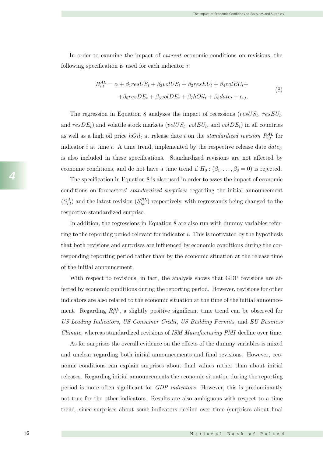following specification is used for each indicator  $i$ : In order to examine the impact of current economic conditions on revisions, the

$$
R_{i,t}^{AL} = \alpha + \beta_1 resUS_t + \beta_2 volUS_t + \beta_3 resEU_t + \beta_4 volEU_t +
$$
  
+
$$
\beta_5 resDE_t + \beta_6 volDE_t + \beta_7 hOil_t + \beta_8 date_t + \epsilon_{i,t}.
$$

$$
(8)
$$

The regression in Equation 8 analyzes the impact of recessions ( $resUS_t$ ,  $resEU_t$ , and  $resDE_t$ ) and volatile stock markets (volUS<sub>t</sub>, volEU<sub>t</sub>, and volDE<sub>t</sub>) in all countries as well as a high oil price  $hOil_t$  at release date t on the standardized revision  $R_{i,t}^{AL}$  for indicator i at time t. A time trend, implemented by the respective release date  $date_t$ , is also included in these specifications. Standardized revisions are not affected by economic conditions, and do not have a time trend if  $H_0: (\beta_1, \ldots, \beta_8 = 0)$  is rejected.

The specification in Equation 8 is also used in order to asses the impact of economic conditions on forecasters' standardized surprises regarding the initial announcement  $(S_{i,t}^A)$  and the latest revision  $(S_{i,t}^{RL})$  respectively, with regressands being changed to the respective standardized surprise.

In addition, the regressions in Equation 8 are also run with dummy variables referring to the reporting period relevant for indicator i. This is motivated by the hypothesis that both revisions and surprises are influenced by economic conditions during the corresponding reporting period rather than by the economic situation at the release time of the initial announcement.

With respect to revisions, in fact, the analysis shows that GDP revisions are affected by economic conditions during the reporting period. However, revisions for other indicators are also related to the economic situation at the time of the initial announcement. Regarding  $R_{i,t}^{AL}$ , a slightly positive significant time trend can be observed for US Leading Indicators, US Consumer Credit, US Building Permits, and EU Business Climate, whereas standardized revisions of ISM Manufacturing PMI decline over time.

As for surprises the overall evidence on the effects of the dummy variables is mixed and unclear regarding both initial announcements and final revisions. However, economic conditions can explain surprises about final values rather than about initial releases. Regarding initial announcements the economic situation during the reporting period is more often significant for GDP indicators. However, this is predominantly not true for the other indicators. Results are also ambiguous with respect to a time trend, since surprises about some indicators decline over time (surprises about final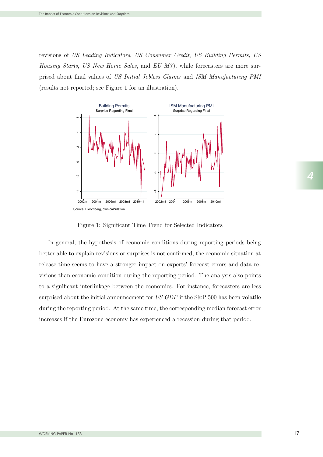revisions of US Leading Indicators, US Consumer Credit, US Building Permits, US Housing Starts, US New Home Sales, and EU M3 ), while forecasters are more surprised about final values of US Initial Jobless Claims and ISM Manufacturing PMI (results not reported; see Figure 1 for an illustration).



Figure 1: Significant Time Trend for Selected Indicators

In general, the hypothesis of economic conditions during reporting periods being better able to explain revisions or surprises is not confirmed; the economic situation at release time seems to have a stronger impact on experts' forecast errors and data revisions than economic condition during the reporting period. The analysis also points to a significant interlinkage between the economies. For instance, forecasters are less surprised about the initial announcement for US GDP if the S&P 500 has been volatile during the reporting period. At the same time, the corresponding median forecast error increases if the Eurozone economy has experienced a recession during that period.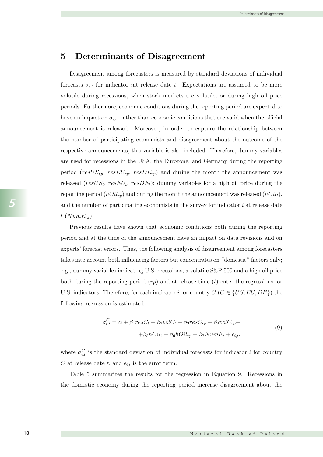#### 5 Determinants of Disagreement

Disagreement among forecasters is measured by standard deviations of individual forecasts  $\sigma_{i,t}$  for indicator iat release date t. Expectations are assumed to be more volatile during recessions, when stock markets are volatile, or during high oil price periods. Furthermore, economic conditions during the reporting period are expected to have an impact on  $\sigma_{i,t}$ , rather than economic conditions that are valid when the official announcement is released. Moreover, in order to capture the relationship between the number of participating economists and disagreement about the outcome of the respective announcements, this variable is also included. Therefore, dummy variables are used for recessions in the USA, the Eurozone, and Germany during the reporting period ( $resUS_{rp}$ ,  $resEU_{rp}$ ,  $resDE_{rp}$ ) and during the month the announcement was released ( $resUS_t$ ,  $resEU_t$ ,  $resDE_t$ ); dummy variables for a high oil price during the reporting period  $(hOil_{rp})$  and during the month the announcement was released  $(hOil_t)$ , and the number of participating economists in the survey for indicator  $i$  at release date  $t$  (Num $E_{i,t}$ ).

Previous results have shown that economic conditions both during the reporting period and at the time of the announcement have an impact on data revisions and on experts' forecast errors. Thus, the following analysis of disagreement among forecasters takes into account both influencing factors but concentrates on "domestic" factors only; e.g., dummy variables indicating U.S. recessions, a volatile S&P 500 and a high oil price both during the reporting period  $(rp)$  and at release time  $(t)$  enter the regressions for U.S. indicators. Therefore, for each indicator i for country  $C$  ( $C \in \{US, EU, DE\}$ ) the following regression is estimated:

$$
\sigma_{i,t}^C = \alpha + \beta_1 resC_t + \beta_2 volC_t + \beta_3 resC_{rp} + \beta_4 volC_{rp} +
$$
  
+ 
$$
\beta_5 hOil_t + \beta_6 hOil_{rp} + \beta_7 NumE_t + \epsilon_{i,t},
$$
  
(9)

where  $\sigma_{i,t}^C$  is the standard deviation of individual forecasts for indicator i for country C at release date t, and  $\epsilon_{i,t}$  is the error term.

Table 5 summarizes the results for the regression in Equation 9. Recessions in the domestic economy during the reporting period increase disagreement about the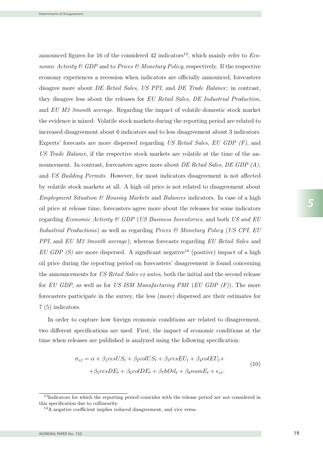announced figures for 16 of the considered 42 indicators<sup>13</sup>, which mainly refer to *Economic Activity*  $\mathcal B$  GDP and to Prices  $\mathcal B$  Monetary Policy, respectively. If the respective economy experiences a recession when indicators are officially announced, forecasters disagree more about *DE Retail Sales, US PPI*, and *DE Trade Balance*; in contrast, they disagree less about the releases for EU Retail Sales, DE Industrial Production, and  $EU$   $M3$  3month average. Regarding the impact of volatile domestic stock market the evidence is mixed: Volatile stock markets during the reporting period are related to increased disagreement about 6 indicators and to less disagreement about 3 indicators. Experts' forecasts are more dispersed regarding US Retail Sales, EU GDP  $(F)$ , and US Trade Balance, if the respective stock markets are volatile at the time of the announcement. In contrast, forecasters agree more about *DE Retail Sales, DE GDP*  $(A)$ , and US Building Permits. However, for most indicators disagreement is not affected by volatile stock markets at all. A high oil price is not related to disagreement about *Employment Situation & Housing Markets* and *Balances* indicators. In case of a high oil price at release time, forecasters agree more about the releases for some indicators regarding *Economic Activity* & GDP (US Business Inventories, and both US and EU Industrial Productions) as well as regarding Prices  $\mathcal B$  Monetary Policy (US CPI, EU PPI, and EU M3 3month average), whereas forecasts regarding EU Retail Sales and EU GDP (S) are more dispersed. A significant negative<sup>14</sup> (positive) impact of a high oil price during the reporting period on forecasters' disagreement is found concerning the announcements for US Retail Sales ex autos, both the initial and the second release for EU GDP, as well as for US ISM Manufacturing PMI (EU GDP  $(F)$ ). The more forecasters participate in the survey, the less (more) dispersed are their estimates for 7 (5) indicators.  $\sigma$  (E) in disagreement is found concerning period on forecasters' disagreement is found concerning concerning concerning  $\sigma$ economy experiences a recession when indicators are officially announced, forecasters disagree more about DE Retail Sales, US PPI, and DE Trade Balance; in contrast, they disagree less about the releases for EU Retail Sales, DE Industrial Production,

In order to capture how foreign economic conditions are related to disagreement. In order to capture how foreign economic conditions are related to disagreement, forecasters participate in the survey, the less (more) dispersed are their estimates for for EU GDP, as well as for US ISM Manufacturing PMI (EU GDP (F)). The more In order to capture how foreign economic conditions are related to disagreement, two different specifications are used: First, the impact of economic conditions at the time when releases are published is analyzed using the following specification:

$$
\sigma_{i,t} = \alpha + \beta_1 resUS_t + \beta_2 volUS_t + \beta_3 resEU_t + \beta_4 volEU_t ++\beta_5 resDE_t + \beta_6 volDE_t + \beta_7 hOil_t + \beta_8 numE_t + \epsilon_{i,t}.
$$
\n(10)

<sup>&</sup>lt;sup>13</sup>Indicators for which the reporting period coincides with the release period are not considered in this specification due to collinearity. <sup>19</sup> Indicators for which the reporting period coinci-<br>this specification due to collinearity.

<sup>14</sup>A negative coefficient implies reduced disagreement, and vice versa.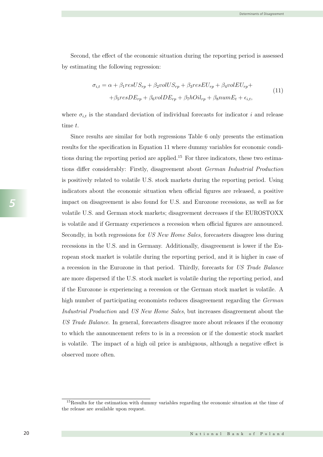Second, the effect of the economic situation during the reporting period is assessed by estimating the following regression:

$$
\sigma_{i,t} = \alpha + \beta_1 resUS_{rp} + \beta_2 volUS_{rp} + \beta_3 resEU_{rp} + \beta_4 volEU_{rp} +
$$
  
+
$$
\beta_5 resDE_{rp} + \beta_6 volDE_{rp} + \beta_7 hOil_{rp} + \beta_8 numE_t + \epsilon_{i,t},
$$
\n(11)

where  $\sigma_{i,t}$  is the standard deviation of individual forecasts for indicator i and release time  $t$ .

Since results are similar for both regressions Table 6 only presents the estimation results for the specification in Equation 11 where dummy variables for economic conditions during the reporting period are applied.<sup>15</sup> For three indicators, these two estimations differ considerably: Firstly, disagreement about German Industrial Production is positively related to volatile U.S. stock markets during the reporting period. Using indicators about the economic situation when official figures are released, a positive impact on disagreement is also found for U.S. and Eurozone recessions, as well as for volatile U.S. and German stock markets; disagreement decreases if the EUROSTOXX is volatile and if Germany experiences a recession when official figures are announced. Secondly, in both regressions for US New Home Sales, forecasters disagree less during recessions in the U.S. and in Germany. Additionally, disagreement is lower if the European stock market is volatile during the reporting period, and it is higher in case of a recession in the Eurozone in that period. Thirdly, forecasts for US Trade Balance are more dispersed if the U.S. stock market is volatile during the reporting period, and if the Eurozone is experiencing a recession or the German stock market is volatile. A high number of participating economists reduces disagreement regarding the German Industrial Production and US New Home Sales, but increases disagreement about the US Trade Balance. In general, forecasters disagree more about releases if the economy to which the announcement refers to is in a recession or if the domestic stock market is volatile. The impact of a high oil price is ambiguous, although a negative effect is  $\overline{11}$  $\mathcal{O}$  is the standard deviation of individual for individual for individual for individual for individual for individual for individual for individual for individual for individual for individual for individual for ind time t.  $\mathcal{S}$  results are similar for both regressions the estimations the estimation of estimations the estimation of  $\mathcal{S}$ results for the specification in Equation 11 where dummy variables for economic condi- $\frac{1}{\sqrt{1}}$ is positively related to volatile U.S. stock matrix  $\mathbf{U}$  and  $\mathbf{U}$  $\frac{1}{\sqrt{2}}$  indicators about the economic situation when of  $\frac{1}{\sqrt{2}}$  $\frac{1}{1}$  on disagreement is also found for U.S. and Europe recessions, as well as  $\frac{1}{1}$  $\mathbf{U} = \mathbf{U} \cdot \mathbf{U}$ is volatile and if Germany experiences a recession when official figures are announced. Secondly, in both regressions for US New Home Sales, forecasters disagree less during recessions in the U.S. and in Germany. Additionally, disagreement is lower in the European stock market is volatile during the reporting period, and it is higher in case of a recent in the European in the European in the European in the  $\frac{1}{2}$ are more dispersed if the U.S. stock market is volatile during the reporting period, and  $\alpha$ if the Eurozone is experiencing a recession or the German stock market is volatile. A observed more often.

<sup>&</sup>lt;sup>15</sup>Results for the estimation with dummy variables regarding the economic situation at the time of the release are available upon request.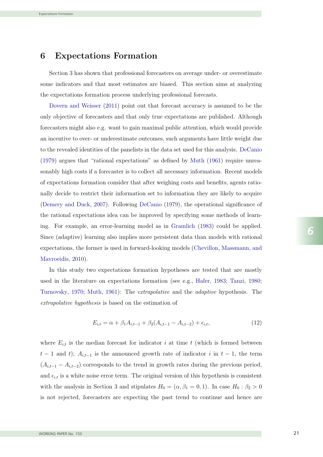## 6 Expectations Formation

Section 3 has shown that professional forecasters on average under- or overestimate some indicators and that most estimates are biased. This section aims at analyzing the expectations formation process underlying professional forecasts.

Dovern and Weisser (2011) point out that forecast accuracy is assumed to be the only objective of forecasters and that only true expectations are published. Although forecasters might also e.g. want to gain maximal public attention, which would provide an incentive to over- or underestimate outcomes, such arguments have little weight due to the revealed identities of the panelists in the data set used for this analysis. DeCanio (1979) argues that "rational expectations" as defined by Muth (1961) require unreasonably high costs if a forecaster is to collect all necessary information. Recent models of expectations formation consider that after weighing costs and benefits, agents rationally decide to restrict their information set to information they are likely to acquire (Demery and Duck, 2007). Following DeCanio (1979), the operational significance of the rational expectations idea can be improved by specifying some methods of learning. For example, an error-learning model as in Gramlich (1983) could be applied. Since (adaptive) learning also implies more persistent data than models with rational expectations, the former is used in forward-looking models (Chevillon, Massmann, and Mavroeidis, 2010).

In this study two expectations formation hypotheses are tested that are mostly used in the literature on expectations formation (see e.g., Hafer, 1983; Tanzi, 1980; Turnovsky, 1970; Muth, 1961): The extrapolative and the adaptive hypothesis. The extrapolative hypothesis is based on the estimation of

$$
E_{i,t} = \alpha + \beta_1 A_{i,t-1} + \beta_2 (A_{i,t-1} - A_{i,t-2}) + \epsilon_{i,t},
$$
\n(12)

where  $E_{i,t}$  is the median forecast for indicator i at time t (which is formed between  $t-1$  and t);  $A_{i,t-1}$  is the announced growth rate of indicator i in  $t-1$ , the term  $(A_{i,t-1} - A_{i,t-2})$  corresponds to the trend in growth rates during the previous period, and  $\epsilon_{i,t}$  is a white noise error term. The original version of this hypothesis is consistent with the analysis in Section 3 and stipulates  $H_0 = (\alpha, \beta_1 = 0, 1)$ . In case  $H_0 : \beta_2 > 0$ is not rejected, forecasters are expecting the past trend to continue and hence are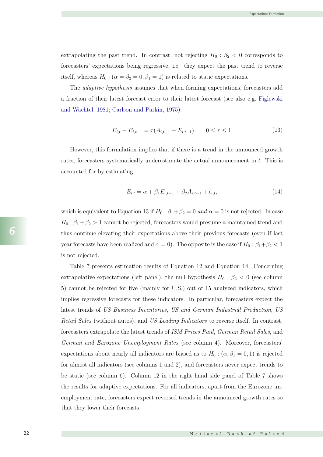extrapolating the past trend. In contrast, not rejecting  $H_0$ :  $\beta_2$  < 0 corresponds to forecasters' expectations being regressive, i.e. they expect the past trend to reverse itself, whereas  $H_0$ :  $(\alpha = \beta_2 = 0, \beta_1 = 1)$  is related to static expectations.

The adaptive hypothesis assumes that when forming expectations, forecasters add a fraction of their latest forecast error to their latest forecast (see also e.g. Figlewski and Wachtel, 1981; Carlson and Parkin, 1975):

$$
E_{i,t} - E_{i,t-1} = \tau(A_{i,t-1} - E_{i,t-1}) \qquad 0 \le \tau \le 1.
$$
\n(13)

However, this formulation implies that if there is a trend in the announced growth rates, forecasters systematically underestimate the actual announcement in t. This is accounted for by estimating

$$
E_{i,t} = \alpha + \beta_1 E_{i,t-1} + \beta_2 A_{i,t-1} + \epsilon_{i,t},
$$
\n(14)

which is equivalent to Equation 13 if  $H_0$  :  $\beta_1 + \beta_2 = 0$  and  $\alpha = 0$  is not rejected. In case  $H_0: \beta_1 + \beta_2 > 1$  cannot be rejected, forecasters would presume a maintained trend and thus continue elevating their expectations above their previous forecasts (even if last year forecasts have been realized and  $\alpha = 0$ ). The opposite is the case if  $H_0: \beta_1 + \beta_2 < 1$ is not rejected.

Table 7 presents estimation results of Equation 12 and Equation 14. Concerning extrapolative expectations (left panel), the null hypothesis  $H_0$ :  $\beta_2$  < 0 (see column 5) cannot be rejected for five (mainly for U.S.) out of 15 analyzed indicators, which implies regressive forecasts for these indicators. In particular, forecasters expect the latest trends of US Business Inventories, US and German Industrial Production, US Retail Sales (without autos), and US Leading Indicators to reverse itself. In contrast, forecasters extrapolate the latest trends of ISM Prices Paid, German Retail Sales, and German and Eurozone Unemployment Rates (see column 4). Moreover, forecasters' expectations about nearly all indicators are biased as to  $H_0$  :  $(\alpha, \beta_1 = 0, 1)$  is rejected for almost all indicators (see columns 1 and 2), and forecasters never expect trends to be static (see column 6). Column 12 in the right hand side panel of Table 7 shows the results for adaptive expectations. For all indicators, apart from the Eurozone unemployment rate, forecasters expect reversed trends in the announced growth rates so that they lower their forecasts.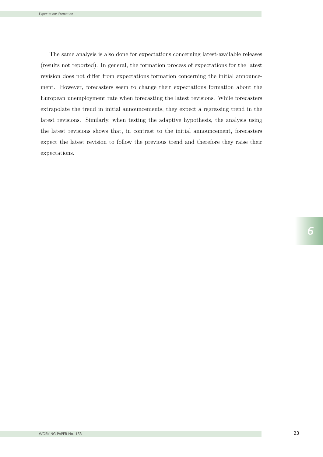The same analysis is also done for expectations concerning latest-available releases (results not reported). In general, the formation process of expectations for the latest revision does not differ from expectations formation concerning the initial announcement. However, forecasters seem to change their expectations formation about the European unemployment rate when forecasting the latest revisions. While forecasters extrapolate the trend in initial announcements, they expect a regressing trend in the latest revisions. Similarly, when testing the adaptive hypothesis, the analysis using the latest revisions shows that, in contrast to the initial announcement, forecasters expect the latest revision to follow the previous trend and therefore they raise their expectations.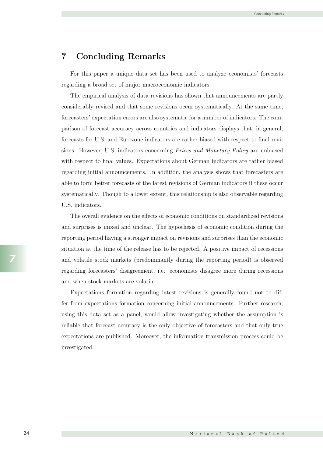## 7 Concluding Remarks

For this paper a unique data set has been used to analyze economists' forecasts regarding a broad set of major macroeconomic indicators.

The empirical analysis of data revisions has shown that announcements are partly considerably revised and that some revisions occur systematically. At the same time, forecasters' expectation errors are also systematic for a number of indicators. The comparison of forecast accuracy across countries and indicators displays that, in general, forecasts for U.S. and Eurozone indicators are rather biased with respect to final revisions. However, U.S. indicators concerning Prices and Monetary Policy are unbiased with respect to final values. Expectations about German indicators are rather biased regarding initial announcements. In addition, the analysis shows that forecasters are able to form better forecasts of the latest revisions of German indicators if these occur systematically. Though to a lower extent, this relationship is also observable regarding U.S. indicators.

The overall evidence on the effects of economic conditions on standardized revisions and surprises is mixed and unclear. The hypothesis of economic condition during the reporting period having a stronger impact on revisions and surprises than the economic situation at the time of the release has to be rejected. A positive impact of recessions and volatile stock markets (predominantly during the reporting period) is observed regarding forecasters' disagreement, i.e. economists disagree more during recessions and when stock markets are volatile.

Expectations formation regarding latest revisions is generally found not to differ from expectations formation concerning initial announcements. Further research, using this data set as a panel, would allow investigating whether the assumption is reliable that forecast accuracy is the only objective of forecasters and that only true expectations are published. Moreover, the information transmission process could be investigated.

*7*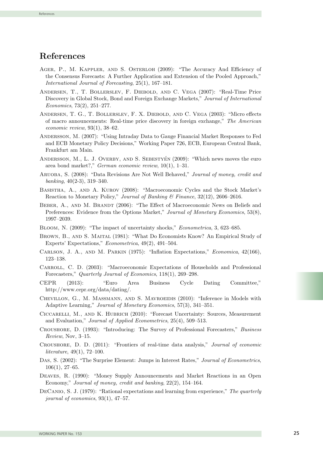#### References

- AGER, P., M. KAPPLER, AND S. OSTERLOH (2009): "The Accuracy And Efficiency of the Consensus Forecasts: A Further Application and Extension of the Pooled Approach," International Journal of Forecasting, 25(1), 167–181.
- Andersen, T., T. Bollerslev, F. Diebold, and C. Vega (2007): "Real-Time Price Discovery in Global Stock, Bond and Foreign Exchange Markets," Journal of International Economics, 73(2), 251–277.
- Andersen, T. G., T. Bollerslev, F. X. Diebold, and C. Vega (2003): "Micro effects of macro announcements: Real-time price discovery in foreign exchange," The American economic review, 93(1), 38–62.
- Andersson, M. (2007): "Using Intraday Data to Gauge Financial Market Responses to Fed and ECB Monetary Policy Decisions," Working Paper 726, ECB, European Central Bank, Frankfurt am Main.
- ANDERSSON, M., L. J. OVERBY, AND S. SEBESTYÉN (2009): "Which news moves the euro area bond market?," German economic review, 10(1), 1–31.
- Aruoba, S. (2008): "Data Revisions Are Not Well Behaved," Journal of money, credit and  $banking, 40(2-3), 319-340.$
- Basistha, A., and A. Kurov (2008): "Macroeconomic Cycles and the Stock Market's Reaction to Monetary Policy," Journal of Banking & Finance, 32(12), 2606–2616.
- BEBER, A., AND M. BRANDT (2006): "The Effect of Macroeconomic News on Beliefs and Preferences: Evidence from the Options Market," Journal of Monetary Economics, 53(8), 1997–2039.
- Bloom, N. (2009): "The impact of uncertainty shocks," Econometrica, 3, 623–685.
- Brown, B., and S. Maital (1981): "What Do Economists Know? An Empirical Study of Experts' Expectations," Econometrica, 49(2), 491–504.
- Carlson, J. A., and M. Parkin (1975): "Inflation Expectations," Economica, 42(166), 123–138.
- Carroll, C. D. (2003): "Macroeconomic Expectations of Households and Professional Forecasters," Quarterly Journal of Economics, 118(1), 269–298.
- CEPR (2013): "Euro Area Business Cycle Dating Committee," http://www.cepr.org/data/dating/.
- Chevillon, G., M. Massmann, and S. Mavroeidis (2010): "Inference in Models with Adaptive Learning," Journal of Monetary Economics, 57(3), 341–351.
- Ciccarelli, M., and K. Hubrich (2010): "Forecast Uncertainty: Sources, Measurement and Evaluation," Journal of Applied Econometrics, 25(4), 509–513.
- Croushore, D. (1993): "Introducing: The Survey of Professional Forecasters," Business Review, Nov, 3–15.
- Croushore, D. D. (2011): "Frontiers of real-time data analysis," Journal of economic *literature*,  $49(1)$ ,  $72-100$ .
- DAS, S. (2002): "The Surprise Element: Jumps in Interest Rates," Journal of Econometrics, 106(1), 27–65.
- Deaves, R. (1990): "Money Supply Announcements and Market Reactions in an Open Economy," Journal of money, credit and banking, 22(2), 154–164.
- DECANIO, S. J. (1979): "Rational expectations and learning from experience," The quarterly journal of economics, 93(1), 47–57.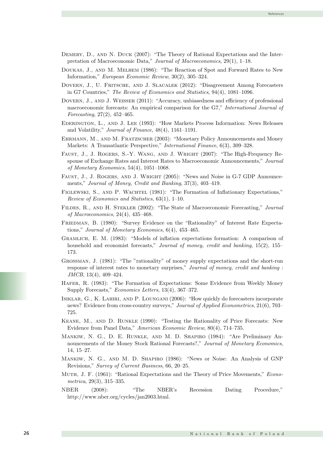- DEMERY, D., AND N. DUCK (2007): "The Theory of Rational Expectations and the Interpretation of Macroeconomic Data," Journal of Macroeconomics, 29(1), 1–18.
- Doukas, J., and M. Melhem (1986): "The Reaction of Spot and Forward Rates to New Information," European Economic Review, 30(2), 305–324.
- Dovern, J., U. Fritsche, and J. Slacalek (2012): "Disagreement Among Forecasters in G7 Countries," The Review of Economics and Statistics, 94(4), 1081–1096.
- Dovern, J., and J. Weisser (2011): "Accuracy, unbiasedness and efficiency of professional macroeconomic forecasts: An empirical comparison for the G7," International Journal of Forecasting, 27(2), 452–465.
- Ederington, L., and J. Lee (1993): "How Markets Process Information: News Releases and Volatility," Journal of Finance, 48(4), 1161–1191.
- Ehrmann, M., and M. Fratzscher (2003): "Monetary Policy Announcements and Money Markets: A Transatlantic Perspective," International Finance, 6(3), 309–328.
- FAUST, J., J. ROGERS, S.-Y. WANG, AND J. WRIGHT (2007): "The High-Frequency Response of Exchange Rates and Interest Rates to Macroeconomic Announcements," Journal of Monetary Economics, 54(4), 1051–1068.
- Faust, J., J. Rogers, and J. Wright (2005): "News and Noise in G-7 GDP Announcements," Journal of Money, Credit and Banking, 37(3), 403–419.
- FIGLEWSKI, S., AND P. WACHTEL (1981): "The Formation of Inflationary Expectations," Review of Economics and Statistics, 63(1), 1–10.
- Fildes, R., and H. Stekler (2002): "The State of Macroeconomic Forecasting," Journal of Macroeconomics, 24(4), 435–468.
- Friedman, B. (1980): "Survey Evidence on the "Rationality" of Interest Rate Expectations," Journal of Monetary Economics, 6(4), 453–465.
- Gramlich, E. M. (1983): "Models of inflation expectations formation: A comparison of household and economist forecasts," Journal of money, credit and banking, 15(2), 155– 173.
- Grossman, J. (1981): "The "rationality" of money supply expectations and the short-run response of interest rates to monetary surprises," Journal of money, credit and banking : JMCB, 13(4), 409–424.
- Hafer, R. (1983): "The Formation of Expectations: Some Evidence from Weekly Money Supply Forecasts," Economics Letters, 13(4), 367–372.
- Isiklar, G., K. Lahiri, and P. Loungani (2006): "How quickly do forecasters incorporate news? Evidence from cross-country surveys," Journal of Applied Econometrics, 21(6), 703– 725.
- Keane, M., and D. Runkle (1990): "Testing the Rationality of Price Forecasts: New Evidence from Panel Data," American Economic Review, 80(4), 714–735.
- Mankiw, N. G., D. E. Runkle, and M. D. Shapiro (1984): "Are Preliminary Announcements of the Money Stock Rational Forecasts?," Journal of Monetary Economics, 14, 15–27.
- Mankiw, N. G., and M. D. Shapiro (1986): "News or Noise: An Analysis of GNP Revisions," Survey of Current Business, 66, 20–25.
- Muth, J. F. (1961): "Rational Expectations and the Theory of Price Movements," Econometrica, 29(3), 315–335.
- NBER (2008): "The NBER's Recession Dating Procedure," http://www.nber.org/cycles/jan2003.html.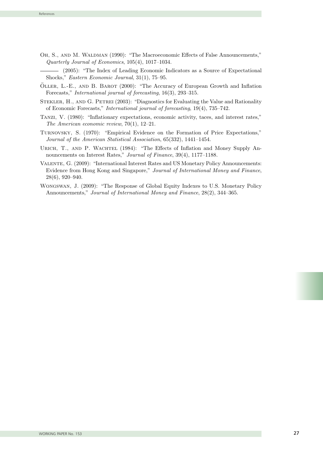OH, S., AND M. WALDMAN (1990): "The Macroeconomic Effects of False Announcements," Quarterly Journal of Economics, 105(4), 1017–1034.

(2005): "The Index of Leading Economic Indicators as a Source of Expectational Shocks," Eastern Economic Journal, 31(1), 75–95.

- ÖLLER, L.-E., AND B. BAROT (2000): "The Accuracy of European Growth and Inflation Forecasts," International journal of forecasting, 16(3), 293–315.
- Stekler, H., and G. Petrei (2003): "Diagnostics for Evaluating the Value and Rationality of Economic Forecasts," International journal of forecasting, 19(4), 735–742.
- Tanzi, V. (1980): "Inflationary expectations, economic activity, taces, and interest rates," The American economic review, 70(1), 12–21.
- Turnovsky, S. (1970): "Empirical Evidence on the Formation of Price Expectations," Journal of the American Statistical Association, 65(332), 1441–1454.
- URICH, T., AND P. WACHTEL (1984): "The Effects of Inflation and Money Supply Announcements on Interest Rates," Journal of Finance, 39(4), 1177–1188.
- Valente, G. (2009): "International Interest Rates and US Monetary Policy Announcements: Evidence from Hong Kong and Singapore," Journal of International Money and Finance, 28(6), 920–940.
- Wongswan, J. (2009): "The Response of Global Equity Indexes to U.S. Monetary Policy Announcements," Journal of International Money and Finance, 28(2), 344-365.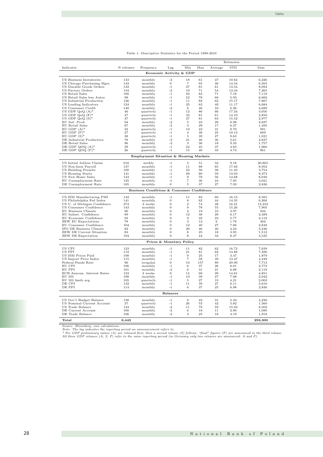|                                                       |            |                                           |                          |                      |          |          | Estimates      |                |
|-------------------------------------------------------|------------|-------------------------------------------|--------------------------|----------------------|----------|----------|----------------|----------------|
| Indicator                                             | N releases | Frequency                                 | Lag                      | Min                  | Max      | Average  | <b>STD</b>     | Sum            |
|                                                       |            |                                           | Economic Activity & GDP  |                      |          |          |                |                |
|                                                       |            |                                           |                          |                      |          |          |                |                |
| US Business Inventories                               | 133        | monthly                                   | $-2$                     | 18                   | 61       | 47       | 10.64          | 6,226          |
| US Chicago Purchasing Mgrs.                           | 143<br>132 | monthly                                   | $\bf{0}$<br>$-1$         | $\overline{7}$<br>27 | 65<br>81 | 46<br>61 | 14.54          | 6,565          |
| US Durable Goods Orders<br><b>US Factory Orders</b>   |            | monthly                                   | $-2$                     | 19                   |          |          | 13.54<br>13.24 | 8,094<br>7,265 |
| US Retail Sales                                       | 134<br>100 | monthly<br>monthly                        | $-1$                     | 50                   | 71<br>83 | 54<br>71 | 7.18           | 7,119          |
| US Retail Sales less Autos                            | 98         | monthly                                   | $-1$                     | 52                   | 78       | 68       | 5.93           | 6,660          |
| US Industrial Production                              | 126        | monthly                                   | $-1$                     | 11                   | 82       | 62       | 15.17          | 7,867          |
| US Leading Indicators                                 | 124        | monthly                                   | $-1$                     | 25                   | 63       | 49       | 11.17          | 6,084          |
| US Consumer Credit                                    | 140        | monthly                                   | $-2$                     | 6                    | 46       | 33       | 6.26           | 4,689          |
| US GDP $Q_0Q(A)^*$                                    | 46         | quarterly                                 | $-1$                     | 12                   | 86       | 66       | 17.34          | 3,056          |
| US GDP $Q_0Q$ $(F)^*$                                 | 47         | quarterly                                 | $-1$                     | 33                   | 81       | 61       | 14.10          | 2,850          |
| US GDP $Q_0Q(S)^*$                                    | 47         | quarterly                                 | $-1$                     | 27                   | 81       | 63       | 15.52          | 2,977          |
| EU Ind. Prod.                                         | 94         | monthly                                   | $-2$                     | 5                    | 43       | 29       | 8.98           | 2,697          |
| EU Retail Sales                                       | 87         | monthly                                   | $-2$                     | 3                    | 29       | 17       | 6.37           | 1,495          |
| EU GDP $(A)^*$                                        | 32         | quarterly                                 | $-1$                     | 10                   | 42       | 31       | 8.70           | 991            |
| EU GDP $(F)^*$                                        | 27         | quarterly                                 | $-1$                     | $\overline{4}$       | 38       | 25       | 10.13          | 669            |
| EU GDP $(S)^*$                                        | 38         | quarterly                                 | $-1$                     | 5                    | 39       | 27       | 9.63           | 1,021          |
| DE Industrial Production<br>DE Retail Sales           | 78<br>96   | monthly<br>monthly                        | $-2$<br>$-2$             | 21<br>3              | 46<br>36 | 36<br>18 | 5.61<br>9.33   | 2,837<br>1,757 |
| DE GDP QOQ $(A)^*$                                    | 29         | quarterly                                 | $-1$                     | 24                   | 45       | 37       | 4.63           | 1,066          |
| DE GDP QOQ $(F)^*$                                    | 26         | quarterly                                 | $-1$                     | 15                   | 40       | 33       | 4.74           | 861            |
|                                                       |            |                                           |                          |                      |          |          |                |                |
|                                                       |            | Employment Situation & Housing Markets    |                          |                      |          |          |                |                |
| US Initial Jobless Claims                             | 618        | weekly                                    | $^{\rm -1}$              | 5                    | 51       | 34       | 9.18           | 20,865         |
| US Non-farm Payroll                                   | 137        | monthly                                   | $-1$                     | 11                   | 88       | 65       | 17.82          | 8,952          |
| <b>US Building Permits</b>                            | 100        | monthly                                   | $-1$                     | 22                   | 58       | 38       | 11.45          | 3,754          |
| <b>US Housing Starts</b>                              | 141        | monthly                                   | $-1$                     | 28                   | 80       | 59       | 13.93          | 8,373          |
| US New Home Sales                                     | 143        | monthly                                   | $-1$                     | 9                    | 78       | 56       | 14.68          | 8,040          |
| EU Unemployment Rate                                  | 125        | monthly                                   | $-1$                     | $\scriptstyle{7}$    | 36       | 24       | 7.95           | 3,021          |
| DE Unemployment Rate                                  | 105        | monthly                                   | $\bf{0}$                 | 5                    | 37       | 27       | 7.93           | 2,836          |
|                                                       |            | Business Conditions & Consumer Confidence |                          |                      |          |          |                |                |
|                                                       | 142        |                                           |                          | 11                   | 83       | 60       |                |                |
| US ISM Manufacturing PMI<br>US Philadelphia Fed Index | 141        | monthly<br>monthly                        | $-1$<br>$\bf{0}$         | 8                    | 62       | 44       | 16.15<br>14.35 | 8,565<br>6,266 |
| US U. of Michigan Confidence                          | 274        | 2 weeks                                   | $\boldsymbol{0}$         | $\boldsymbol{2}$     | 74       | 48       | 16.21          | 13,252         |
| US Consumer Confidence                                | 143        | monthly                                   | $\boldsymbol{0}$         | 9                    | 78       | 55       | 15.26          | 7,905          |
| EU Business Climate                                   | 90         | monthly                                   | $\boldsymbol{0}$         | $\overline{2}$       | 19       | 10       | 3.97           | 934            |
| EU Indust. Confidence                                 | 89         | monthly                                   | $\bf{0}$                 | 12                   | 38       | 28       | 6.17           | 2,489          |
| EU Economic Confidence                                | 93         | monthly                                   | $\boldsymbol{0}$         | 9                    | 33       | 23       | 5.77           | 2,119          |
| <b>ZEW EU Expectations</b>                            | 78         | monthly                                   | $\overline{0}$           | 3                    | 12       | 6        | 1.78           | 462            |
| EU Consumer Confidence                                | 104        | monthly                                   | $\boldsymbol{0}$         | 12                   | 40       | 27       | 7.06           | 2,849          |
| IFO DE Business Climate                               | 82         | monthly                                   | $\boldsymbol{0}$         | 20                   | 46       | 40       | 4.24           | 3,246          |
| ZEW DE Current Situation                              | 83         | monthly                                   | $\overline{0}$           | 8                    | 25       | 18       | 3.95           | 1,512          |
| ZEW DE Expectation                                    | 104        | monthly                                   | $\boldsymbol{0}$         | 8                    | 44       | 34       | 8.47           | 3,525          |
|                                                       |            |                                           | Prices & Monetary Policy |                      |          |          |                |                |
| US CPI                                                | 123        | monthly                                   | $-1$                     | 11                   | 82       | 62       | 16.72          | 7,639          |
| US PPI                                                | 119        | monthly                                   | $-1$                     | 21                   | 81       | 62       | 14.88          | 7,396          |
| US ISM Prices Paid                                    | 108        | monthly                                   | $-1$                     | 9                    | 25       | 17       | 3.47           | 1,879          |
| US Import Price Index                                 | 115        | monthly                                   | $-1$                     | 7                    | 58       | 39       | 13.47          | 4,448          |
| Federal Funds Rate                                    | 96         | irregular                                 | $\overline{0}$           | 10                   | 157      | 80       | 29.90          | 7,713          |
| EU CPI                                                | 106        | monthly                                   | $-1$                     | 6                    | 37       | 26       | 8.01           | 2,772          |
| EU PPI                                                | 101        | monthly                                   | $-2$                     | 6                    | 31       | 21       | 6.88           | 2,110          |
| ECB Announ. Interest Rates                            | 123        | 2 weeks                                   | $\mathbf{0}$             | 14                   | 68       | 39       | 14.81          | 4,851          |
| EU M3                                                 | 108        | monthly                                   | $-1$                     | 10                   | 39       | 27       | 7.08           | 2,942          |
| EU M3 3mth avg                                        | 105        | quarterly                                 | $-1$                     | 5                    | 27       | 19       | 4.21           | 2,003          |
| DE CPI                                                | 132        | monthly                                   | $-1$                     | 11                   | 39       | 27       | 6.11           | 3,610          |
| DE PPI                                                | 114        | monthly                                   | $-1$                     | 6                    | 37       | 25       | 6.98           | 2,836          |
|                                                       |            |                                           | <b>Balances</b>          |                      |          |          |                |                |
| US Gov't Budget Balance                               | 138        | monthly                                   | $-1$                     | 8                    | 42       | 31       | 5.34           | 4,230          |
| US Nominal Current Account                            | 37         | quarterly                                 | $-1$                     | 26                   | 53       | 42       | 5.82           | 1,560          |
| US Trade Balance                                      | 143        | monthly                                   | $-2$                     | 11                   | 79       | 59       | 15.03          | 8,502          |
| DE Current Account                                    | 100        | monthly                                   | $-2$                     | 6                    | 18       | 11       | 2.90           | 1,080          |
| DE Trade Balance                                      | 106        | monthly                                   | $-2$                     | 3                    | 25       | 18       | 4.19           | 1,918          |
| Total                                                 | 6,443      |                                           |                          |                      |          |          |                | 259,300        |

|  | Table 1: Descriptive Statistics for the Period 1999-2010 |  |  |  |  |  |
|--|----------------------------------------------------------|--|--|--|--|--|
|--|----------------------------------------------------------|--|--|--|--|--|

Source: Bloomberg, own calculations.<br>Note: The lag indicates the reporting period an announcement refers to.<br>\* For GDP preliminary values (A) are released first, then a second release (S) follows; "final" figures (F) are a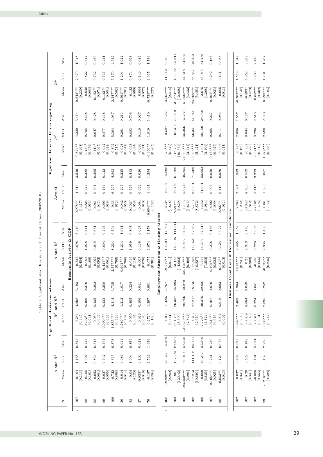Tables

|                                       |                       | Abs.               |                   | 1.948<br>2.470        | 0.614<br>0.822       | 0.489<br>0.732        | 0.441<br>0.533         | 4.532<br>5.170         | 1.022<br>1.204         | 0.693<br>0.874      | 0.085<br>0.140       | 1.744<br>2.017         |                  | 9.006<br>11.142                                                                                                                                                                                                                                                                                                                                                                                                                                                                                                                                                                                | 95.311<br>122.068        | 54.635<br>44.318                     | 46.333<br>56.667                                  | 34.236<br>43.945     | 0.183<br>0.242         | 0.083<br>0.111        |                 | 1.348<br>1.519         | 3.669<br>4.858                   | 2.496<br>3.200       | $1.207$<br>1.781                                                   |
|---------------------------------------|-----------------------|--------------------|-------------------|-----------------------|----------------------|-----------------------|------------------------|------------------------|------------------------|---------------------|----------------------|------------------------|------------------|------------------------------------------------------------------------------------------------------------------------------------------------------------------------------------------------------------------------------------------------------------------------------------------------------------------------------------------------------------------------------------------------------------------------------------------------------------------------------------------------------------------------------------------------------------------------------------------------|--------------------------|--------------------------------------|---------------------------------------------------|----------------------|------------------------|-----------------------|-----------------|------------------------|----------------------------------|----------------------|--------------------------------------------------------------------|
|                                       | $R^{\cal L}$          | <b>GTD</b><br>Mean |                   | $0.643***$<br>[0.239] | 0.028<br>[0.083]     | $-0.153**$<br>[0.074] | $0.132***$<br>[0.054]  | $2.247***$<br>[0.502]  | $-0.561***$<br>[0.201] | $-0.122$<br>[0.096] | 0.004<br>[0.027]     | $-0.739***$<br>[0.227] |                  | $3.665***$<br>$[0.515] \centering% \includegraphics[width=1.0\textwidth]{figs/fig_4.pdf} \includegraphics[width=1.0\textwidth]{figs/fig_4.pdf} \includegraphics[width=1.0\textwidth]{figs/fig_4.pdf} \includegraphics[width=1.0\textwidth]{figs/fig_4.pdf} \includegraphics[width=1.0\textwidth]{figs/fig_4.pdf} \includegraphics[width=1.0\textwidth]{figs/fig_4.pdf} \includegraphics[width=1.0\textwidth]{figs/fig_4.pdf} \includegraphics[width=1.0\textwidth]{figs/fig_4.pdf} \includegraphics[width=1.0\textwidth]{figs/fig_4.pdf} \includegraphics[width=1.0\textwidth]{figs/fig_4.pdf$ | $-31.874***$<br>[12.028] | 51.235****<br>[4.432]                | $24.269***$<br>[5.453]                            | $-3.075$<br>[4.268]  | $0.102***$<br>[0.023]  | 0.005<br>[0.011]      |                 | $-0.763***$<br>[0.147] | $-0.893*$<br>[0.470]             | $0.682**$<br>[0.309] | $[0.593***]$                                                       |
|                                       |                       | Abs.               |                   | 3.414                 | 0.538                | 0.428                 | 0.348                  | 4.037                  | 0.211                  | 0.706               | 0.067                | 1.410                  |                  | 10.263                                                                                                                                                                                                                                                                                                                                                                                                                                                                                                                                                                                         | 73.010                   | 32.235                               | 44.944                                            | 28.038               | 0.227                  | 0.084                 |                 | 1.557                  | 6.167                            | 2.513                | 2.148                                                              |
| Significant Forecast Errors regarding | $\boldsymbol{R}^F$    | <b>GTD</b>         |                   | 4.220                 | 0.755                | 0.647                 | 0.477                  | 5.304                  | 0.281                  | 0.883               | 0.110                | 1.819                  |                  | 13.597                                                                                                                                                                                                                                                                                                                                                                                                                                                                                                                                                                                         | 107.317                  | 35.366                               | 56.341                                            | 38.159               | 0.255                  | 0.111                 |                 | 2.056                  | 8.044                            | 3.238                | 2.599                                                              |
|                                       |                       | Mean               |                   | $0.874**$<br>[0.408]  | $0.130*$<br>[0.076]  | $-0.114*$<br>[0.065]  | 0.042<br>[0.048]       | 0.392<br>[0.515]       | 0.028<br>[0.047]       | $-0.063$<br>[0.097] | 0.030<br>[0.021]     | $-0.466**$<br>[0.205]  |                  | $3.675***$<br>[0.629]                                                                                                                                                                                                                                                                                                                                                                                                                                                                                                                                                                          | $-16.738$<br>[10.574]    | 24.565***<br>[3.537]                 | $23.926***$<br>[5.421]                            | 4.651<br>[3.706]     | $0.163***$<br>[0.025]  | 0.006<br>[0.011]      |                 | [0.225]                | $-0.932$<br>[8778]               | $0.641**$<br>[0.313] | $1.279***$<br>[0.270]                                              |
|                                       |                       | Abs.               |                   | 3.529                 | 0.388                | 0.295                 | 0.122                  | 4.893                  | 0.225                  | 0.412               | 0.026                | 1.294                  |                  | 14.098                                                                                                                                                                                                                                                                                                                                                                                                                                                                                                                                                                                         | 61.786                   | 46.855                               | 71.509                                            | 52.953               | 0.059                  | 0.086                 |                 | 1.583                  | 6.552                            | 3.923                | 1.067                                                              |
|                                       | Actual                | <b>GTD</b>         |                   | 4.314                 | 0.524                | 0.401                 | 0.176                  | 6.295                  | 0.297                  | 0.525               | 0.052                | 1.441                  |                  | 19.002                                                                                                                                                                                                                                                                                                                                                                                                                                                                                                                                                                                         | 79.450                   | 58.746                               | 92.201                                            | 71.901               | 0.096                  | 0.113                 |                 | 2.087                  | 8.400                            | 5.115                | 1.568                                                              |
|                                       |                       | Mean               |                   | $0.978**$<br>[0.417]  | 0.025<br>[0.053]     | $-0.061$<br>[0.041]   | 0.005<br>[0.018]       | $-0.33$<br>[0.612]     | 0.042<br>[0.050]       | $0.102*$<br>[0.058] | $-0.004$<br>[0.010]  | $-0.664***$<br>[0.162] |                  | $1.453*$<br>[0.878]                                                                                                                                                                                                                                                                                                                                                                                                                                                                                                                                                                            | $-18.699**$<br>[7.829]   | 1.115<br>$[5.875]$                   | 6.713<br>[8.872]                                  | 4.642<br>[6.984]     | $-0.002$<br>[0.009]    | $-0.027**$<br>[0.011] |                 | [0.263]                | $-0.642$<br>$\left[0.812\right]$ | $-0.167$<br>[0.495]  | $\begin{array}{c} 0.061 \\ \textbf{[}0.163 \textbf{]} \end{array}$ |
|                                       |                       | Abs.               | GDP               | 3.419                 | 0.811                | 0.651                 | 0.503                  | 6.794                  | 1.031                  | 0.807               | 0.067                | 2.178                  | & Housing Market | 14.994                                                                                                                                                                                                                                                                                                                                                                                                                                                                                                                                                                                         | 111.31                   | 64.420                               | 87.537                                            | 57.415               | 0.166                  | 0.072                 | Confidence      | 1.958                  | 6.746                            | 5.035                | 1.483                                                              |
|                                       | $R^L$<br>and          | <b>GTD</b>         | ಳ                 | 4.698                 | 1.078                | 0.915                 | 0.604                  | 8.224                  | 1.234                  | 1.059               | 0.136                | 2.674                  |                  | 19.700                                                                                                                                                                                                                                                                                                                                                                                                                                                                                                                                                                                         | 142.106                  | 64.975                               | 112.521                                           | 74.673               | 0.238                  | 0.124                 | Consumer        | 2.495                  | 9.343                            | 6.778                | 2.365                                                              |
|                                       |                       | Mean               | Economic Activity | $[0.335$ $[0.454]$    | $-0.003$<br>[0.109]  | 0.092<br>[0.092]      | $-0.127**$<br>[0.061]  | $-2.577***$<br>[0.799] | $0.603***$<br>[0.206]  | 0.019<br>[0.116]    | $-0.007$<br>[0.026]  | 0.075<br>[0.301]       | Situation        | $-2.212**$<br>[0.911]                                                                                                                                                                                                                                                                                                                                                                                                                                                                                                                                                                          | $[13.175$ $[14.002]$     | $-50.120***$<br>[6.498]              | $-17.556$<br>[10.827]                             | 7.717<br>[7.253]     | $-0.105***$<br>[0.023] | $0.032**$<br>[0.013]  | ∛<br>Conditions | $1.025***$<br>[0.241]  | 0.25<br>[0.903]                  | $-0.850$<br>[0.655]  | $-0.532**$<br>[0.245]                                              |
| between                               |                       | Abs.               |                   | 3.193                 | 0.276                | 0.282                 | 0.258                  | 3.735                  | 1.017                  | 0.324               | 0.041                | 0.981                  | Employment       | 7.767                                                                                                                                                                                                                                                                                                                                                                                                                                                                                                                                                                                          | 65.893                   | 30.270                               | 18.731                                            | 29.821               | 0.076                  | 0.003                 | siness          | 1.904                  | 6.049                            | 0.041                | 1.252                                                              |
|                                       | $R^L$<br>and          | <b>GTD</b>         |                   | 4.598                 | 0.406                | 0.435                 | 0.333                  | 4.414                  | 1.212                  | 0.405               | 0.106                | 1.297                  |                  | 11.695                                                                                                                                                                                                                                                                                                                                                                                                                                                                                                                                                                                         | 86.357                   | 28.766                               | 27.217                                            | 39.375               | 0.167                  | 0.018                 | E<br>Bu         | 2.469                  | 8.684                            | 0.324                | 2.095                                                              |
| <b>Significant Revisions</b>          | $\boldsymbol{R}^F$    | Mean               |                   | [0.445]<br>0.231      | $0.102**$<br>[0.041] | 0.039<br>[0.044]      | [0.034]<br>$-0.090***$ | $-1.855***$<br>[0.429] | $0.589***$<br>[0.202]  | 0.059<br>[0.044]    | 0.026<br>[0.020]     | $0.272*$<br>[0.146]    |                  | [0.541]<br>0.011                                                                                                                                                                                                                                                                                                                                                                                                                                                                                                                                                                               | [8.509]<br>$15.136*$     | $-26.670***$<br>$\left[2.877\right]$ | $-0.343$<br>[2.619]                               | $7.726**$<br>[3.824] | $0.061***$<br>[0.016]  | 0.001<br>[0.002]      |                 | $0.988***$<br>[0.239]  | $-0.039$<br>[0.840]              | $-0.041$<br>[0.031]  | $0.686***$<br>$\left[ 0.217\right]$                                |
|                                       |                       | Abs.               |                   | 0.324                 | 0.715                | 0.543                 | 0.373                  | 0.373                  | 0.014                  | 0.859               | 0.048                | 1.944                  |                  | 15.389                                                                                                                                                                                                                                                                                                                                                                                                                                                                                                                                                                                         | 87.981                   | 57.570                               | 85.731                                            | 51.500               | 0.220                  | 0.076                 |                 | 0.093                  | 0.798                            | 5.051                | 2.278                                                              |
|                                       | $\mathbb{R}^L$<br>and | <b>GTD</b>         |                   | 1.168                 | 1.004                | 0.834                 | 0.542                  | 8.315                  | 0.083                  | 1.094               | 0.100                | 2.522                  |                  | 20.547                                                                                                                                                                                                                                                                                                                                                                                                                                                                                                                                                                                         | 127.284                  | 69.049                               | 111.106                                           | 70.267               | 0.261                  | 0.129                 |                 | 0.422                  | 3.529                            | 6.781                | 3.159                                                              |
|                                       | 4                     | Mean               |                   | 0.104<br>$[0.113]$    | $-0.105$<br>[0.101]  | 0.053<br>[0.084]      | $-0.037$<br>[0.055]    | $-0.722$<br>[0.808]    | 0.014<br>[0.014]       | $-0.04$<br>[0.120]  | $-0.033*$<br>[0.019] | $-0.197$<br>[0.284]    |                  | $-2.222**$<br>[0.950]                                                                                                                                                                                                                                                                                                                                                                                                                                                                                                                                                                          | $-1.961$<br>[12.542]     | $-23.450***$<br>[6.905]              | $\begin{bmatrix} -17.213 \\ 10.691 \end{bmatrix}$ | $-0.009$<br>[6.825]  | $-0.165***$<br>[0.025] | $-0.033**$<br>[0.013] |                 | 0.037<br>[0.041]       | 0.29<br>[0.341]                  | $-0.808$<br>[0.656]  | $-1.218***$<br>[0.328]                                             |
|                                       |                       | z                  |                   | 107                   | $^{98}$              | 98                    | $_{99}$                | 106                    | 36                     | 83                  | $\sqrt{2}$           | $^{6}$                 |                  | 468                                                                                                                                                                                                                                                                                                                                                                                                                                                                                                                                                                                            | 103                      | 100                                  | 108                                               | 106                  | 107                    | $^{98}$               |                 | 107                    | 107                              | 107                  | 93                                                                 |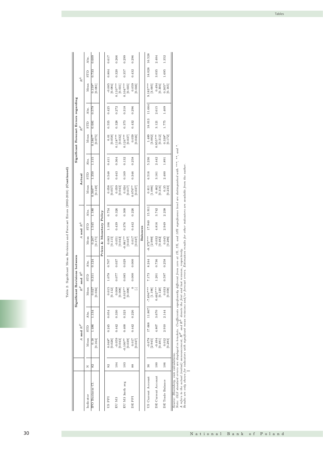| 16.528<br>0.617<br>0.266<br>0.299<br>0.296<br>1.352<br>0.609<br>2.404<br>Abs.<br>18.028<br>0.320<br>3.035<br>1.695<br>0.804<br>0.357<br>0.432<br>0.733<br>${\tt STD}$<br>$R^{\cal L}$<br>$Mean$<br>$-0.005$ [0.084]<br>0.059<br>$\begin{array}{c} 0.494 \\ 0.304 \end{array}$<br>$0.305*$ [0.165]<br>$0.110***$<br>[0.031]<br>$0.104***$<br>$9.183***$<br>[3.005]<br>$\frac{0.159^*}{[0.081]}$<br>[0.035]<br>[0.046]<br>$11.664\,$<br>0.425<br>0.272<br>0.318<br>0.296<br>2.615<br>1.409<br>0.579<br>Abs.<br>18.013<br>0.555<br>0.328<br>0.373<br>1.775<br>0.432<br>3.121<br>STD<br>0.681<br>${\bf Mean}$<br>$1.489$<br>[3.002]<br>$0.059$ [0.046]<br>$0.338*$<br>[0.172]<br>$0.118***$<br>$0.955***$<br>[0.312]<br>$[0.186**]$<br>[0.058]<br>[0.032]<br>$0.124***$<br>$[0.037]$<br>Source: Bloomberg, own calculations.<br>Note: OLS standard errors are displayed in brackets. Coefficients significantly different from zero at 1%, 5%, and 10% significance level are distinguished with ***, **, and *.<br>5.236<br>1.115<br>0.411<br>0.132<br>0.258<br>2.442<br>0.364<br>1.891<br>Abs.<br>A refers to the actual (initial) annomcement, $R^F$ and $R^L$ denote the first and last revision, respectively.<br>Results are only shown for indicators with significant mean revisions and/or forecast errors. Estimation resu<br>6.516<br>0.548<br>2.400<br>$\,0.443$<br>0.169<br>0.346<br>3.161<br>1.350<br><b>GLS</b><br>Actual<br>${\bf Mean}$<br>[0.058]<br>$0.059$ [0.043]<br>$0.024$<br>[0.017]<br>[0.462]<br>[0.35]<br>$[0.076**]$<br>$\begin{array}{c} 0.811 \\ \textbf{[1.086]} \end{array}$<br>$0.366**$ [0.149]<br>15.911<br>0.754<br>0.326<br>0.300<br>0.226<br>3.742<br>2.238<br>1.180<br>Abs.<br>Prices & Monetary Policy<br>17.940<br>1.106<br>0.376<br>4.816<br>2.949<br>0.439<br>0.442<br>and $R^L$<br>1.545<br>STD<br>Balances<br>₹<br>[0.115]<br>$-8.372***$<br>$\begin{array}{c} 0.045 \\ 0.286 \end{array}$<br>Mean<br>$-0.032$ [0.482]<br>$-0.051$ [0.043]<br>$^{\ast\ast}$<br><br><br>180.00 $^{-1}$<br><br><br><br>0.037]<br>$[200]$<br>$210.0$<br>$\left[2.990\right]$<br>$\frac{0.207}{[0.171]}$<br>8.244<br>0.037<br>0.029<br>0.000<br>0.736<br>0.258<br>0.124<br>107.0<br>Abs.<br>$R^F$ and $R^L$<br>1.078<br>0.000<br>770.0<br>0.085<br>7.173<br>1.201<br>0.597<br>0.311<br>STD<br>$We an$<br>$\begin{bmatrix} 800^\circ & 0 \\ 0 & 0.008 \\ 0 & 0.019 \\ 0 & 0.019 \end{bmatrix}$<br>$\circ \equiv$<br>$\left[0.120\right]$<br>0.033<br>[0.034]<br>$\left[0.015\right]$ $\left[0.112\right]$<br>$*$<br>$0.462***$<br>727<br>$\left[1.196\right]$<br>[0.058]<br><b>C</b><br>$-7.694*$<br>11.867<br>2.144<br>0.054<br>0.330<br>0.323<br>0.226<br>3.670<br>1.134<br>Abs.<br>17.668<br>2.910<br>0.245<br>$A$ and $R^{\cal F}$<br>0.442<br>0.400<br>1.486<br>0.442<br>4.807<br>${\tt STD}$<br>Mean<br>$-0.059$<br>0.012<br>0.18<br>$0.048*$<br>[0.026]<br>$-0.100**$<br>0.017<br>$-0.678$<br>[2.945]<br>$-0.494$<br>[0.164]<br>[0.043]<br>[0.039]<br>[0.481]<br>[0.283]<br>[0.047]<br>100<br>106<br>103<br>104<br>36<br>88<br>82<br>92<br>$\mathbb Z$<br>DE Current Account<br>US Current Account<br>DE Trade Balance<br>EU M3 3mth avg<br>IFO Business Cl<br>Indicator<br>DE PPI<br>US PPI<br>EU M3 |  |  | Significant Revisions between |  |  |  |  | Significant Forecast Errors regarding |                    |  |  |
|----------------------------------------------------------------------------------------------------------------------------------------------------------------------------------------------------------------------------------------------------------------------------------------------------------------------------------------------------------------------------------------------------------------------------------------------------------------------------------------------------------------------------------------------------------------------------------------------------------------------------------------------------------------------------------------------------------------------------------------------------------------------------------------------------------------------------------------------------------------------------------------------------------------------------------------------------------------------------------------------------------------------------------------------------------------------------------------------------------------------------------------------------------------------------------------------------------------------------------------------------------------------------------------------------------------------------------------------------------------------------------------------------------------------------------------------------------------------------------------------------------------------------------------------------------------------------------------------------------------------------------------------------------------------------------------------------------------------------------------------------------------------------------------------------------------------------------------------------------------------------------------------------------------------------------------------------------------------------------------------------------------------------------------------------------------------------------------------------------------------------------------------------------------------------------------------------------------------------------------------------------------------------------------------------------------------------------------------------------------------------------------------------------------------------------------------------------------------------------------------------------------------------------------------------------------------------------------------------------------------------------------------------------------------------------------------------------------------------------------------------------------------------------------------------------------------------------------------------------------------------------------------------------------------------------------------------------------------------------------------------------------------------------------------------------------------------------------------------------------------------------------------------------------------------------------------------------------------------------|--|--|-------------------------------|--|--|--|--|---------------------------------------|--------------------|--|--|
|                                                                                                                                                                                                                                                                                                                                                                                                                                                                                                                                                                                                                                                                                                                                                                                                                                                                                                                                                                                                                                                                                                                                                                                                                                                                                                                                                                                                                                                                                                                                                                                                                                                                                                                                                                                                                                                                                                                                                                                                                                                                                                                                                                                                                                                                                                                                                                                                                                                                                                                                                                                                                                                                                                                                                                                                                                                                                                                                                                                                                                                                                                                                                                                                                                  |  |  |                               |  |  |  |  |                                       | $\boldsymbol{R}^F$ |  |  |
|                                                                                                                                                                                                                                                                                                                                                                                                                                                                                                                                                                                                                                                                                                                                                                                                                                                                                                                                                                                                                                                                                                                                                                                                                                                                                                                                                                                                                                                                                                                                                                                                                                                                                                                                                                                                                                                                                                                                                                                                                                                                                                                                                                                                                                                                                                                                                                                                                                                                                                                                                                                                                                                                                                                                                                                                                                                                                                                                                                                                                                                                                                                                                                                                                                  |  |  |                               |  |  |  |  |                                       |                    |  |  |
|                                                                                                                                                                                                                                                                                                                                                                                                                                                                                                                                                                                                                                                                                                                                                                                                                                                                                                                                                                                                                                                                                                                                                                                                                                                                                                                                                                                                                                                                                                                                                                                                                                                                                                                                                                                                                                                                                                                                                                                                                                                                                                                                                                                                                                                                                                                                                                                                                                                                                                                                                                                                                                                                                                                                                                                                                                                                                                                                                                                                                                                                                                                                                                                                                                  |  |  |                               |  |  |  |  |                                       |                    |  |  |
|                                                                                                                                                                                                                                                                                                                                                                                                                                                                                                                                                                                                                                                                                                                                                                                                                                                                                                                                                                                                                                                                                                                                                                                                                                                                                                                                                                                                                                                                                                                                                                                                                                                                                                                                                                                                                                                                                                                                                                                                                                                                                                                                                                                                                                                                                                                                                                                                                                                                                                                                                                                                                                                                                                                                                                                                                                                                                                                                                                                                                                                                                                                                                                                                                                  |  |  |                               |  |  |  |  |                                       |                    |  |  |
|                                                                                                                                                                                                                                                                                                                                                                                                                                                                                                                                                                                                                                                                                                                                                                                                                                                                                                                                                                                                                                                                                                                                                                                                                                                                                                                                                                                                                                                                                                                                                                                                                                                                                                                                                                                                                                                                                                                                                                                                                                                                                                                                                                                                                                                                                                                                                                                                                                                                                                                                                                                                                                                                                                                                                                                                                                                                                                                                                                                                                                                                                                                                                                                                                                  |  |  |                               |  |  |  |  |                                       |                    |  |  |
|                                                                                                                                                                                                                                                                                                                                                                                                                                                                                                                                                                                                                                                                                                                                                                                                                                                                                                                                                                                                                                                                                                                                                                                                                                                                                                                                                                                                                                                                                                                                                                                                                                                                                                                                                                                                                                                                                                                                                                                                                                                                                                                                                                                                                                                                                                                                                                                                                                                                                                                                                                                                                                                                                                                                                                                                                                                                                                                                                                                                                                                                                                                                                                                                                                  |  |  |                               |  |  |  |  |                                       |                    |  |  |
|                                                                                                                                                                                                                                                                                                                                                                                                                                                                                                                                                                                                                                                                                                                                                                                                                                                                                                                                                                                                                                                                                                                                                                                                                                                                                                                                                                                                                                                                                                                                                                                                                                                                                                                                                                                                                                                                                                                                                                                                                                                                                                                                                                                                                                                                                                                                                                                                                                                                                                                                                                                                                                                                                                                                                                                                                                                                                                                                                                                                                                                                                                                                                                                                                                  |  |  |                               |  |  |  |  |                                       |                    |  |  |
|                                                                                                                                                                                                                                                                                                                                                                                                                                                                                                                                                                                                                                                                                                                                                                                                                                                                                                                                                                                                                                                                                                                                                                                                                                                                                                                                                                                                                                                                                                                                                                                                                                                                                                                                                                                                                                                                                                                                                                                                                                                                                                                                                                                                                                                                                                                                                                                                                                                                                                                                                                                                                                                                                                                                                                                                                                                                                                                                                                                                                                                                                                                                                                                                                                  |  |  |                               |  |  |  |  |                                       |                    |  |  |
|                                                                                                                                                                                                                                                                                                                                                                                                                                                                                                                                                                                                                                                                                                                                                                                                                                                                                                                                                                                                                                                                                                                                                                                                                                                                                                                                                                                                                                                                                                                                                                                                                                                                                                                                                                                                                                                                                                                                                                                                                                                                                                                                                                                                                                                                                                                                                                                                                                                                                                                                                                                                                                                                                                                                                                                                                                                                                                                                                                                                                                                                                                                                                                                                                                  |  |  |                               |  |  |  |  |                                       |                    |  |  |
|                                                                                                                                                                                                                                                                                                                                                                                                                                                                                                                                                                                                                                                                                                                                                                                                                                                                                                                                                                                                                                                                                                                                                                                                                                                                                                                                                                                                                                                                                                                                                                                                                                                                                                                                                                                                                                                                                                                                                                                                                                                                                                                                                                                                                                                                                                                                                                                                                                                                                                                                                                                                                                                                                                                                                                                                                                                                                                                                                                                                                                                                                                                                                                                                                                  |  |  |                               |  |  |  |  |                                       |                    |  |  |
|                                                                                                                                                                                                                                                                                                                                                                                                                                                                                                                                                                                                                                                                                                                                                                                                                                                                                                                                                                                                                                                                                                                                                                                                                                                                                                                                                                                                                                                                                                                                                                                                                                                                                                                                                                                                                                                                                                                                                                                                                                                                                                                                                                                                                                                                                                                                                                                                                                                                                                                                                                                                                                                                                                                                                                                                                                                                                                                                                                                                                                                                                                                                                                                                                                  |  |  |                               |  |  |  |  |                                       |                    |  |  |
|                                                                                                                                                                                                                                                                                                                                                                                                                                                                                                                                                                                                                                                                                                                                                                                                                                                                                                                                                                                                                                                                                                                                                                                                                                                                                                                                                                                                                                                                                                                                                                                                                                                                                                                                                                                                                                                                                                                                                                                                                                                                                                                                                                                                                                                                                                                                                                                                                                                                                                                                                                                                                                                                                                                                                                                                                                                                                                                                                                                                                                                                                                                                                                                                                                  |  |  |                               |  |  |  |  |                                       |                    |  |  |
|                                                                                                                                                                                                                                                                                                                                                                                                                                                                                                                                                                                                                                                                                                                                                                                                                                                                                                                                                                                                                                                                                                                                                                                                                                                                                                                                                                                                                                                                                                                                                                                                                                                                                                                                                                                                                                                                                                                                                                                                                                                                                                                                                                                                                                                                                                                                                                                                                                                                                                                                                                                                                                                                                                                                                                                                                                                                                                                                                                                                                                                                                                                                                                                                                                  |  |  |                               |  |  |  |  |                                       |                    |  |  |
|                                                                                                                                                                                                                                                                                                                                                                                                                                                                                                                                                                                                                                                                                                                                                                                                                                                                                                                                                                                                                                                                                                                                                                                                                                                                                                                                                                                                                                                                                                                                                                                                                                                                                                                                                                                                                                                                                                                                                                                                                                                                                                                                                                                                                                                                                                                                                                                                                                                                                                                                                                                                                                                                                                                                                                                                                                                                                                                                                                                                                                                                                                                                                                                                                                  |  |  |                               |  |  |  |  |                                       |                    |  |  |
|                                                                                                                                                                                                                                                                                                                                                                                                                                                                                                                                                                                                                                                                                                                                                                                                                                                                                                                                                                                                                                                                                                                                                                                                                                                                                                                                                                                                                                                                                                                                                                                                                                                                                                                                                                                                                                                                                                                                                                                                                                                                                                                                                                                                                                                                                                                                                                                                                                                                                                                                                                                                                                                                                                                                                                                                                                                                                                                                                                                                                                                                                                                                                                                                                                  |  |  |                               |  |  |  |  |                                       |                    |  |  |
|                                                                                                                                                                                                                                                                                                                                                                                                                                                                                                                                                                                                                                                                                                                                                                                                                                                                                                                                                                                                                                                                                                                                                                                                                                                                                                                                                                                                                                                                                                                                                                                                                                                                                                                                                                                                                                                                                                                                                                                                                                                                                                                                                                                                                                                                                                                                                                                                                                                                                                                                                                                                                                                                                                                                                                                                                                                                                                                                                                                                                                                                                                                                                                                                                                  |  |  |                               |  |  |  |  |                                       |                    |  |  |
|                                                                                                                                                                                                                                                                                                                                                                                                                                                                                                                                                                                                                                                                                                                                                                                                                                                                                                                                                                                                                                                                                                                                                                                                                                                                                                                                                                                                                                                                                                                                                                                                                                                                                                                                                                                                                                                                                                                                                                                                                                                                                                                                                                                                                                                                                                                                                                                                                                                                                                                                                                                                                                                                                                                                                                                                                                                                                                                                                                                                                                                                                                                                                                                                                                  |  |  |                               |  |  |  |  |                                       |                    |  |  |
|                                                                                                                                                                                                                                                                                                                                                                                                                                                                                                                                                                                                                                                                                                                                                                                                                                                                                                                                                                                                                                                                                                                                                                                                                                                                                                                                                                                                                                                                                                                                                                                                                                                                                                                                                                                                                                                                                                                                                                                                                                                                                                                                                                                                                                                                                                                                                                                                                                                                                                                                                                                                                                                                                                                                                                                                                                                                                                                                                                                                                                                                                                                                                                                                                                  |  |  |                               |  |  |  |  |                                       |                    |  |  |
|                                                                                                                                                                                                                                                                                                                                                                                                                                                                                                                                                                                                                                                                                                                                                                                                                                                                                                                                                                                                                                                                                                                                                                                                                                                                                                                                                                                                                                                                                                                                                                                                                                                                                                                                                                                                                                                                                                                                                                                                                                                                                                                                                                                                                                                                                                                                                                                                                                                                                                                                                                                                                                                                                                                                                                                                                                                                                                                                                                                                                                                                                                                                                                                                                                  |  |  |                               |  |  |  |  |                                       |                    |  |  |
|                                                                                                                                                                                                                                                                                                                                                                                                                                                                                                                                                                                                                                                                                                                                                                                                                                                                                                                                                                                                                                                                                                                                                                                                                                                                                                                                                                                                                                                                                                                                                                                                                                                                                                                                                                                                                                                                                                                                                                                                                                                                                                                                                                                                                                                                                                                                                                                                                                                                                                                                                                                                                                                                                                                                                                                                                                                                                                                                                                                                                                                                                                                                                                                                                                  |  |  |                               |  |  |  |  |                                       |                    |  |  |
|                                                                                                                                                                                                                                                                                                                                                                                                                                                                                                                                                                                                                                                                                                                                                                                                                                                                                                                                                                                                                                                                                                                                                                                                                                                                                                                                                                                                                                                                                                                                                                                                                                                                                                                                                                                                                                                                                                                                                                                                                                                                                                                                                                                                                                                                                                                                                                                                                                                                                                                                                                                                                                                                                                                                                                                                                                                                                                                                                                                                                                                                                                                                                                                                                                  |  |  |                               |  |  |  |  |                                       |                    |  |  |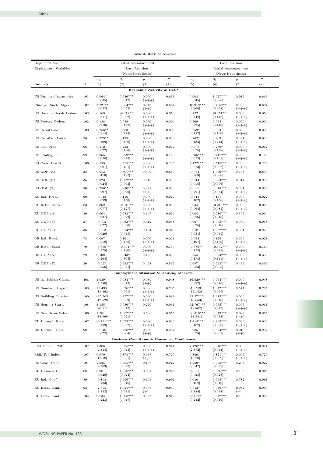| Dependent Variable:      |            |                                 | Initial Announcement                      |                             |       |                                | Last Revision               |                             |       |
|--------------------------|------------|---------------------------------|-------------------------------------------|-----------------------------|-------|--------------------------------|-----------------------------|-----------------------------|-------|
| Explanatory Variable:    |            |                                 | Last Revision                             |                             |       |                                | Initial Announcement        |                             |       |
|                          |            |                                 | (Noise Hypothesis)                        |                             |       |                                | (News Hypothesis)           |                             |       |
|                          |            | $_{\alpha_3}$                   | $\beta_3$                                 | $\boldsymbol{p}$            | $R^2$ | $\alpha_4$                     | $\beta_4$                   | $\boldsymbol{p}$            | $R^2$ |
| Indicator                | Ν          | (1)                             | (2)                                       | (3)                         | (4)   | (5)                            | (6)                         | (7)                         | (8)   |
|                          |            |                                 |                                           | Economic Activity & GDP     |       |                                |                             |                             |       |
| US Business Inventories  | 103        | $0.064*$<br>[0.035]             | $0.646***$<br>[0.047]                     | 0.000<br>$(+++)$            | 0.663 | 0.003<br>[0.045]               | $1.027***$<br>[0.080]       | 0.919                       | 0.663 |
| Chicago Purch. Mgrs.     | 107        | $7.721**$                       | $0.864***$                                | 0.043                       | 0.687 | $10.919***$                    | $0.795***$                  | 0.000                       | 0.687 |
| US Durable Goods Orders  | 103        | [3.052]<br>0.169                | [0.055]<br>$-0.212**$                     | $(++)$<br>0.000             | 0.053 | [3.360]<br>0.222               | [0.058]<br>$-0.251**$       | $(+++)$<br>0.000            | 0.053 |
|                          |            | [0.311]                         | [0.092]                                   | $(+++)$                     |       | [0.342]                        | [0.117]                     | $(+++)$                     |       |
| US Factory Orders        | 102        | 0.138<br>[0.210]                | 0.059<br>[0.122]                          | 0.000<br>$(+++)$            | 0.004 | 0.269<br>[0.225]               | 0.064<br>[0.140]            | 0.000<br>$(+++)$            | 0.004 |
| US Retail Sales          | 100        | $0.256**$                       | 0.003                                     | 0.000                       | 0.000 | $0.259*$                       | 0.004                       | 0.000                       | 0.000 |
| US Retail ex Autos       | 98         | [0.114]<br>$0.279**$<br>[0.109] | [0.123]<br>0.139<br>[0.160]               | $(+++)$<br>0.000<br>$(+++)$ | 0.028 | [0.137]<br>$0.262*$<br>[0.134] | [0.166]<br>0.203<br>[0.214] | $(+++)$<br>0.001<br>$(+++)$ | 0.028 |
| US Ind. Prod.            | 98         | 0.112<br>[0.072]                | 0.233<br>[0.180]                          | 0.000<br>$(+++)$            | 0.067 | $-0.008$<br>[0.075]            | $0.289*$<br>[0.158]         | 0.000<br>$(+++)$            | 0.067 |
| US Leading Ind.          | 99         | 0.055                           | $0.299***$                                | 0.000                       | 0.123 | $0.205***$                     | $0.411***$                  | 0.000                       | 0.123 |
|                          |            | [0.050]                         | [0.072]                                   | $(+++)$                     |       | [0.053]                        | [0.101]                     | $(+++)$                     |       |
| US Cons. Credit          | 106        | 0.559<br>[0.921]                | $0.455***$<br>[0.101]                     | 0.000<br>$(+++)$            | 0.234 | $4.122***$<br>[0.873]          | $0.515***$<br>[0.087]       | 0.000<br>$(+++)$            | 0.234 |
| $US$ GDP $(A)$           | 35         | 0.613<br>[0.410]                | $0.801***$<br>[0.127]                     | 0.309                       | 0.849 | $-0.331$<br>[0.363]            | $1.059***$<br>[0.088]       | 0.608                       | 0.849 |
| $US$ GDP $(F)$           | 35         | 0.023                           | $1.002***$                                | 0.619                       | 0.996 | $-0.014$                       | $0.994***$                  | 0.617                       | 0.996 |
| $US$ GDP $(S)$           | 36         | [0.024]<br>$0.750**$            | [0.003]<br>$0.920***$                     | 0.021                       | 0.808 | [0.015]<br>$-0.306$            | [0.006]<br>$0.878***$       | 0.001                       | 0.808 |
| EU Ind. Prod.            | 90         | [0.297]<br>$-0.042$             | [0.090]<br>0.156                          | $(++)$<br>0.000             | 0.027 | [0.291]<br>$-0.011$            | [0.064]<br>0.171            | $(+++)$<br>0.000            | 0.027 |
|                          |            | [0.099]                         | [0.150]                                   | $(+++)$                     |       | [0.102]                        | [0.158]                     | $(+++)$                     |       |
| EU Retail Sales          | 83         | 0.062<br>[0.077]                | $-0.310**$<br>[0.127]                     | 0.000<br>$(+++)$            | 0.068 | 0.044<br>[0.064]               | $-0.218***$<br>[0.081]      | 0.000<br>$(+++)$            | 0.068 |
| $EU$ GDP $(A)$           | 30         | 0.004<br>[0.027]                | $0.983***$<br>$[0.022]$                   | 0.647                       | 0.964 | 0.004<br>[0.026]               | $0.980***$<br>[0.018]       | 0.505                       | 0.964 |
| $EU$ GDP $(F)$           | 27         | $-0.002$<br>[0.027]             | $0.963***$<br>[0.028]                     | 0.412                       | 0.968 | 0.007<br>[0.025]               | $1.005***$<br>[0.018]       | 0.959                       | 0.968 |
| EU GDP (S)               | 36         | $-0.003$<br>[0.029]             | $0.914***$<br>[0.048]                     | 0.124                       | 0.943 | 0.018<br>[0.031]               | $1.032***$<br>[0.041]       | 0.391                       | 0.943 |
| DE Ind. Prod.            | 78         | 0.007<br>[0.218]                | 0.161<br>[0.178]                          | 0.000<br>$(+++)$            | 0.021 | $-0.033$<br>[0.197]            | 0.129<br>[0.139]            | 0.000<br>$(+++)$            | 0.021 |
| DE Retail Sales          | 79         | $-0.369**$<br>[0.179]           | $-0.454***$<br>[0.130]                    | 0.000<br>$(+++)$            | 0.160 | $-0.386**$<br>[0.153]          | $-0.352***$<br>[0.083]      | 0.000<br>$(+++)$            | 0.160 |
| $DE$ GDP $(A)$           | 29         | 0.108<br>[0.204]                | $0.543*$<br>[0.305]                       | 0.196                       | 0.339 | 0.054<br>[0.173]               | $0.624***$<br>[0.111]       | 0.008<br>$(+ + + )$         | 0.339 |
| $DE$ GDP $(F)$           | ${\bf 26}$ | $-0.067$<br>[0.056]             | $0.933***$<br>[0.061]                     | 0.468                       | 0.899 | 0.097<br>[0.083]               | $0.963***$<br>[0.055]       | 0.435                       | 0.899 |
|                          |            |                                 | Employment Situation & Housing Markets    |                             |       |                                |                             |                             |       |
| US In. Jobless Claims    | 468        | 4.039                           | $0.984***$                                | 0.039                       | 0.948 | 16.529***                      | $0.964***$                  | 0.000                       | 0.948 |
|                          |            | [4.580]                         | [0.012]                                   | $(++)$                      |       | [3.897]                        | [0.010]                     | $(+++)$                     |       |
| US Non-farm Payroll      | 103        | 11.433<br>[11.362]              | $0.676***$<br>[0.051]                     | 0.000<br>$(+++)$            | 0.705 | $-13.503$<br>[14.142]          | $1.042***$<br>[0.065]       | 0.574                       | 0.705 |
| US Building Permits      | 100        | $-15.763$                       | $0.977***$<br>[0.009]                     | 0.000                       | 0.989 | 32.272**                       | $1.013***$                  | 0.000                       | 0.989 |
| <b>US Housing Starts</b> | 108        | [12.520]<br>3.155               | $0.986***$                                | $(++)$<br>0.270             | 0.961 | [13.553]<br>52.767***          | [0.010]<br>$0.975***$       | $(++)$<br>0.006             | 0.961 |
| US New Home Sales        |            | [20.111]                        | [0.017]<br>$1.007***$                     |                             |       | [19.862]                       | [0.017]<br>$0.949***$       | $(+++)$                     |       |
|                          | 106        | 1.781<br>[14.966]               | [0.021]                                   | 0.538                       | 0.955 | 36.410***<br>[13.581]          | [0.018]                     | 0.022<br>$(++)$             | 0.955 |
| EU Unempl. Rate          | 107        | $-0.731***$<br>[0.199]          | $1.073***$<br>$[0.022]$                   | 0.000<br>$(+++)$            | 0.933 | $1.214***$<br>[0.182]          | $0.869***$<br>$[0.020]$     | 0.000<br>$(+++)$            | 0.933 |
| DE Unempl. Rate          | 98         | $-0.010$<br>[0.072]             | $0.998***$<br>[0.008]                     | 0.030<br>$(++)$             | 0.992 | 0.085<br>[0.078]               | $0.994***$<br>[0.009]       | 0.010<br>$(++)$             | 0.992 |
|                          |            |                                 | Business Conditions & Consumer Confidence |                             |       |                                |                             |                             |       |
| ISM Manuf. PMI           | 107        | 1.306                           | $0.995***$                                | 0.000                       | 0.841 | $7.126***$                     | $0.846***$                  | 0.000                       | 0.841 |
| Phil. Fed Index          | 107        | [2.314]<br>0.970                | [0.043]<br>$0.878***$                     | $(+++)$<br>0.057            | 0.720 | [2.372]<br>0.849               | [0.044]<br>$0.821***$       | $(+++)$<br>0.006            | 0.720 |
| US Cons. Conf.           | 107        | [1.018]<br>2.025                | [0.051]<br>$0.965***$                     | $(+)$<br>0.107              | 0.922 | [1.020]<br>4.550*              | [0.059]<br>$0.955***$       | $(+++)$<br>0.208            | 0.922 |
| EU Business Cl.          | 88         | [2.509]<br>0.001                | $[0.027]$<br>$1.010***$                   | 0.881                       | 0.965 | [2.647]<br>$-0.005$            | $[0.029]$<br>$0.955***$     | 0.135                       | 0.965 |
| EU Ind. Conf.            | 89         | [0.026]<br>$-0.103$             | $[0.024]$<br>$0.996***$                   | 0.601                       | 0.991 | [0.025]<br>0.030               | [0.028]<br>$0.994***$       | 0.782                       | 0.991 |
|                          |            | [0.103]                         | [0.010]                                   |                             |       | [0.102]                        | [0.010]                     |                             |       |
| EU Econ. Conf.           | 93         | $-2.565$<br>[3.232]             | $1.021***$<br>[0.031]                     | 0.056<br>$(+)$              | 0.956 | 6.713*<br>[3.888]              | $0.936***$<br>[0.038]       | 0.082<br>$(+)$              | 0.956 |
| EU Cons. Conf.           | 104        | 0.034<br>[0.223]                | $1.000***$<br>[0.017]                     | 0.957                       | 0.972 | $-0.439*$<br>[0.242]           | $0.972***$<br>[0.019]       | 0.186                       | 0.972 |

| Table 3: Revision Analysis |  |
|----------------------------|--|
|----------------------------|--|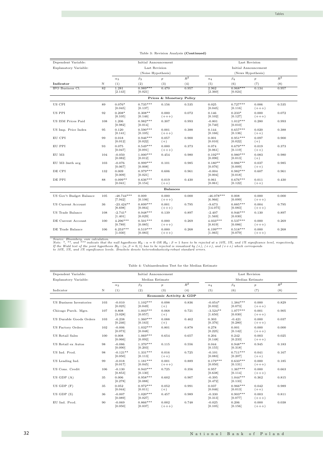| Dependent Variable:     |     |                         | Initial Announcement  |                          |       |                         | Last Revision         |                  |       |
|-------------------------|-----|-------------------------|-----------------------|--------------------------|-------|-------------------------|-----------------------|------------------|-------|
| Explanatory Variable:   |     |                         | Last Revision         |                          |       |                         | Initial Announcement  |                  |       |
|                         |     |                         | (Noise Hypothesis)    |                          |       |                         | (News Hypothesis)     |                  |       |
|                         |     | $\alpha_3$              | $\beta_3$             | $\boldsymbol{p}$         | $R^2$ | $\alpha_4$              | $\beta_4$             | $\boldsymbol{p}$ | $R^2$ |
| Indicator               | Ν   | (1)                     | (2)                   | (3)                      | (4)   | (5)                     | (6)                   | (7)              | (8)   |
| IFO Business Cl.        | 82  | 1.281<br>[2.143]        | $0.989***$<br>[0.021] | 0.470                    | 0.957 | 2.962<br>[2.360]        | $0.968***$<br>[0.024] | 0.134            | 0.957 |
|                         |     |                         |                       | Prices & Monetary Policy |       |                         |                       |                  |       |
| US CPI                  | 89  | $0.076*$<br>[0.045]     | $0.735***$<br>[0.137] | 0.156                    | 0.535 | 0.025<br>[0.045]        | $0.727***$<br>[0.116] | 0.006<br>$(+++)$ | 0.535 |
| US PPI                  | 92  | $0.208*$<br>[0.105]     | $0.308**$<br>[0.146]  | 0.000<br>$(+++)$         | 0.072 | 0.146<br>[0.102]        | $0.233*$<br>[0.127]   | 0.000<br>$(+++)$ | 0.072 |
| US ISM Prices Paid      | 108 | 1.206<br>[0.982]        | $0.982***$<br>[0.014] | 0.307                    | 0.993 | $-0.801$<br>[0.740]     | $1.012***$<br>[0.010] | 0.280            | 0.993 |
| US Imp. Price Index     | 95  | 0.120<br>[0.141]        | $0.590***$<br>[0.105] | 0.001<br>$(+++)$         | 0.388 | 0.144<br>[0.166]        | $0.657***$<br>[0.136] | 0.020<br>$(++)$  | 0.388 |
| EU CPI                  | 99  | 0.018<br>[0.012]        | $0.946***$<br>[0.022] | 0.057<br>$(+)$           | 0.900 | 0.001<br>[0.010]        | $0.951***$<br>[0.022] | 0.097<br>$(+)$   | 0.900 |
| EU PPI                  | 93  | 0.075<br>[0.047]        | $0.549***$<br>[0.091] | 0.000<br>$(+++)$         | 0.373 | 0.074<br>[0.061]        | $0.679***$<br>[0.119] | 0.019<br>$(++)$  | 0.373 |
| $\rm EU~M3$             | 104 | $-0.050$<br>[0.082]     | $1.000***$<br>[0.012] | 0.454                    | 0.980 | $0.192**$<br>[0.090]    | $0.980***$<br>[0.013] | 0.083<br>$(+)$   | 0.980 |
| EU M3 3mth avg          | 103 | $-0.076$<br>[0.067]     | $0.999***$<br>[0.008] | 0.101                    | 0.985 | $0.180**$<br>[0.076]    | $0.986***$<br>[0.009] | 0.037<br>$(++)$  | 0.985 |
| DE CPI                  | 132 | 0.009<br>[0.009]        | $0.979***$<br>[0.021] | 0.606                    | 0.961 | $-0.004$<br>[0.004]     | $0.982***$<br>[0.018] | 0.607            | 0.961 |
| DE PPI                  | 88  | $0.099**$<br>[0.041]    | $0.636***$<br>[0.154] | 0.019<br>$(++)$          | 0.430 | 0.061<br>[0.061]        | $0.676***$<br>[0.122] | 0.011<br>$(++)$  | 0.430 |
|                         |     |                         |                       | <b>Balances</b>          |       |                         |                       |                  |       |
| US Gov't Budget Balance | 105 | $-48.744***$<br>[7.942] | 0.009<br>[0.106]      | 0.000<br>$(+++)$         | 0.000 | $-46.078***$<br>[6.966] | 0.008<br>[0.099]      | 0.000<br>$(+++)$ | 0.000 |
| US Current Account      | 36  | $-23.424**$<br>[8.698]  | $0.899***$<br>[0.064] | 0.001<br>$(+++)$         | 0.795 | $-9.673$<br>[14.075]    | $0.885***$<br>[0.083] | 0.004<br>$(+++)$ | 0.795 |
| US Trade Balance        | 108 | $-2.741*$<br>[1.401]    | $0.948***$<br>[0.029] | 0.139                    | 0.897 | $-2.407$<br>[1.569]     | $0.946***$<br>[0.030] | 0.130            | 0.897 |
| DE Current Account      | 100 | $4.296***$<br>[0.789]   | $0.501***$<br>[0.085] | 0.000<br>$(+++)$         | 0.269 | $4.033***$<br>[0.819]   | $0.537***$<br>[0.086] | 0.000<br>$(+++)$ | 0.269 |
| DE Trade Balance        | 106 | $6.253***$<br>[1.030]   | $0.519***$<br>[0.083] | 0.000<br>$(+++)$         | 0.268 | $6.199***$<br>[1.065]   | $0.518***$<br>[0.079] | 0.000<br>$(+++)$ | 0.268 |

#### Table 3: Revision Analysis (Continued)

Source: Bloomberg, own calculation.<br>Note: \*, \*\*, and \*\*\* indicate that the null hypothesis  $H_0$ :  $\alpha = 0$  OR  $H_0$ :  $\beta = 1$  have to be rejected at a 10%, 5%, and 1% significance level, respectively.<br>If the Wald test of th

|  | Table 4: Unbiasedendess Test for the Median Estimate |  |  |  |  |
|--|------------------------------------------------------|--|--|--|--|
|--|------------------------------------------------------|--|--|--|--|

| Dependent Variable:      |     |                       | Initial Announcement  |                         |       |                       | Last Revision         |                    |       |
|--------------------------|-----|-----------------------|-----------------------|-------------------------|-------|-----------------------|-----------------------|--------------------|-------|
| Explanatory Variable:    |     |                       | Median Estimate       |                         |       |                       | Median Estimate       |                    |       |
|                          |     | $\alpha_3$            | $\beta_3$             | $\boldsymbol{p}$        | $R^2$ | $\alpha_4$            | $\beta_4$             | $\boldsymbol{p}$   | $R^2$ |
| Indicator                | N   | (1)                   | (2)                   | (3)                     | (4)   | (5)                   | (6)                   | (7)                | (8)   |
|                          |     |                       |                       | Economic Activity & GDP |       |                       |                       |                    |       |
| US Business Inventories  | 103 | $-0.010$<br>[0.025]   | $1.102***$<br>[0.049] | 0.098<br>$(+)$          | 0.836 | $-0.054*$<br>[0.032]  | $1.384***$<br>[0.073] | 0.000<br>$(+++)$   | 0.829 |
| Chicago Purch. Mgrs.     | 107 | 0.808<br>[3.028]      | $1.003***$<br>[0.057] | 0.068<br>$(+)$          | 0.721 | $-3.524**$<br>[1.650] | $1.077***$<br>[0.030] | 0.001<br>$(+ + +)$ | 0.905 |
| US Durable Goods Orders  | 103 | $-0.238$<br>[0.246]   | $1.360***$<br>[0.163] | 0.088<br>$(+)$          | 0.462 | 0.303<br>[0.376]      | $-0.421$<br>[0.280]   | 0.000<br>$(+++)$   | 0.037 |
| <b>US Factory Orders</b> | 102 | $-0.006$<br>[0.073]   | $1.032***$<br>[0.048] | 0.801                   | 0.878 | 0.278<br>[0.225]      | 0.001<br>[0.142]      | 0.000<br>$(+++)$   | 0.000 |
| US Retail Sales          | 100 | 0.008<br>[0.066]      | $1.069***$<br>[0.092] | 0.654                   | 0.657 | 0.204<br>[0.148]      | 0.242<br>[0.233]      | 0.003<br>$(+ + +)$ | 0.025 |
| US Retail ex Autos       | 98  | $-0.086$<br>[0.090]   | $1.370***$<br>[0.203] | 0.115                   | 0.556 | 0.044<br>[0.155]      | $0.948***$<br>[0.318] | 0.945              | 0.183 |
| US Ind. Prod.            | 98  | $-0.121**$<br>[0.050] | $1.331***$<br>[0.113] | 0.016<br>$(++)$         | 0.725 | $-0.101$<br>[0.083]   | $0.711***$<br>[0.207] | 0.041<br>$(++)$    | 0.167 |
| US Leading Ind.          | 99  | $-0.018$<br>[0.017]   | $1.181***$<br>[0.045] | 0.001<br>$(+++)$        | 0.889 | $0.179***$<br>[0.050] | $0.633***$<br>[0.131] | 0.000<br>$(+++)$   | 0.185 |
| US Cons. Credit          | 106 | $-0.130$<br>[0.853]   | $0.943***$<br>[0.130] | 0.725                   | 0.356 | 0.957<br>[0.638]      | $1.367***$<br>[0.114] | 0.000<br>$(+ + +)$ | 0.663 |
| $US$ GDP $(A)$           | 35  | 0.006<br>[0.278]      | $0.958***$<br>[0.088] | 0.602                   | 0.907 | $-0.395$<br>[0.472]   | $1.044***$<br>[0.133] | 0.362              | 0.815 |
| $US$ GDP $(F)$           | 35  | 0.052<br>[0.044]      | $0.972***$<br>[0.011] | 0.052<br>$(+)$          | 0.991 | 0.037<br>[0.046]      | $0.966***$<br>[0.013] | 0.042<br>$(++)$    | 0.989 |
| $US$ GDP $(S)$           | 36  | $-0.007$<br>[0.089]   | $1.020***$<br>[0.027] | 0.457                   | 0.989 | $-0.330$<br>[0.313]   | $0.903***$<br>[0.077] | 0.003<br>$(+++)$   | 0.811 |
| EU Ind. Prod.            | 90  | $-0.069$<br>[0.050]   | $0.866***$<br>[0.037] | 0.002<br>$(+++)$        | 0.748 | $-0.025$<br>[0.105]   | 0.206<br>[0.156]      | 0.000<br>$(+ + +)$ | 0.038 |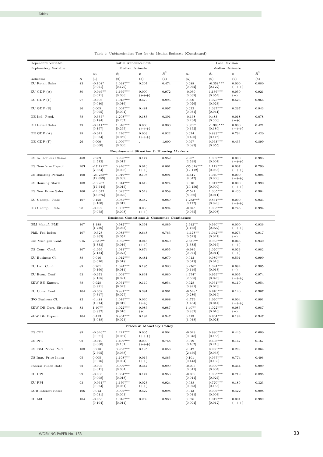| Dependent Variable:       |                    |                             | Initial Announcement                      |                          |       |                             | Last Revision                    |                    |       |
|---------------------------|--------------------|-----------------------------|-------------------------------------------|--------------------------|-------|-----------------------------|----------------------------------|--------------------|-------|
| Explanatory Variable:     |                    |                             | Median Estimate                           |                          |       |                             |                                  | Median Estimate    |       |
|                           |                    | $_{\alpha_3}$               | $\beta_3$                                 | $\boldsymbol{p}$         | $R^2$ | $\alpha_4$                  | $\beta_4$                        | $\boldsymbol{p}$   | $R^2$ |
| Indicator                 | Ν                  | (1)                         | (2)                                       | (3)                      | (4)   | (5)                         | (6)                              | (7)                | (8)   |
| EU Retail Sales           | 83                 | $-0.108*$<br>[0.061]        | $1.038***$<br>[0.129]                     | 0.207                    | 0.474 | 0.088<br>[0.062]            | $-0.358***$<br>[0.122]           | 0.000<br>$(+++)$   | 0.080 |
| $EU$ GDP $(A)$            | 30                 | $-0.046**$<br>[0.021]       | $1.169***$<br>[0.036]                     | 0.000<br>$(+++)$         | 0.972 | $-0.039$<br>[0.039]         | $1.136***$<br>$[0.054]$          | 0.059<br>$(+)$     | 0.921 |
| $EU$ GDP $(F)$            | 27                 | $-0.006$<br>[0.010]         | $1.018***$<br>[0.016]                     | 0.479                    | 0.995 | 0.000<br>[0.026]            | $1.025***$<br>[0.023]            | 0.523              | 0.966 |
| $EU$ GDP $(S)$            | 36                 | 0.005<br>[0.005]            | $1.004***$<br>[0.004]                     | 0.481                    | 0.997 | 0.022<br>[0.031]            | $1.037***$<br>[0.041]            | 0.267              | 0.943 |
| DE Ind. Prod.             | 78                 | $-0.335*$<br>[0.184]        | $1.208***$<br>$[0.207]$                   | 0.183                    | 0.391 | $-0.168$<br>[0.234]         | 0.483<br>[0.303]                 | 0.018<br>$(++)$    | 0.078 |
| DE Retail Sales           | 79                 | $-0.811***$<br>[0.197]      | $1.340***$                                | 0.000                    | 0.300 | $0.301*$                    | $-1.398***$<br>[0.180]           | 0.000              | 0.421 |
| $DE$ GDP $(A)$            | 29                 | $-0.012$                    | [0.265]<br>$1.220***$                     | $(+ + +)$<br>0.003       | 0.922 | [0.152]<br>0.024            | $0.883***$                       | $(+ + +)$<br>0.764 | 0.420 |
| $DE$ GDP $(F)$            | 26                 | [0.054]<br>0.000<br>[0.000] | [0.059]<br>$1.000***$<br>[0.000]          | $(++)$                   | 1.000 | [0.180]<br>0.097<br>[0.083] | [0.175]<br>$0.963***$<br>[0.055] | 0.435              | 0.899 |
|                           |                    |                             | Employment Situation & Housing Markets    |                          |       |                             |                                  |                    |       |
| US In. Jobless Claims     | 468                | 2.969                       | $0.996***$                                | 0.177                    | 0.952 | 2.987                       | $1.002***$                       | 0.000              | 0.983 |
| US Non-farm Payroll       | 103                | [4.512]<br>$-17.121**$      | [0.012]<br>$0.940***$                     | 0.016                    | 0.861 | [2.539]<br>$-35.018***$     | [0.007]<br>$1.119***$            | $(+++)$<br>0.007   | 0.790 |
| US Building Permits       | 100                | [7.884]<br>$-25.238**$      | [0.038]<br>$1.019***$                     | $(++)$<br>0.108          | 0.991 | [12.112]<br>$-5.512$        | [0.056]<br>$1.040***$            | $(+ + +)$<br>0.000 | 0.996 |
| US Housing Starts         | 108                | [12.059]<br>$-13.237$       | [0.009]<br>$1.014***$                     | 0.619                    | 0.974 | [9.047]<br>0.010            | [0.006]<br>$1.017***$            | $(++)$<br>0.000    | 0.990 |
| US New Home Sales         | 106                | [17.544]<br>$-14.672$       | [0.015]<br>$1.023***$                     | $_{0.519}$               | 0.959 | [10.156]<br>$-7.521$        | [0.009]<br>$1.005***$            | $(+++)$<br>0.436   | 0.984 |
| EU Unempl. Rate           | 107                | [13.875]<br>0.128           | [0.020]<br>$0.985***$                     | 0.382                    | 0.989 | [8.060]<br>$1.283***$       | [0.011]<br>$0.861***$            | 0.000              | 0.933 |
| DE Unempl. Rate           | 98                 | [0.100]<br>$-0.092$         | $[0.012]$<br>$1.007***$                   | 0.030                    | 0.994 | [0.177]<br>$-0.045$         | [0.020]<br>$1.005***$            | $(+ + +)$<br>0.748 | 0.994 |
|                           |                    | [0.078]                     | [0.008]                                   | $(++)$                   |       | [0.075]                     | [0.008]                          |                    |       |
|                           |                    |                             | Business Conditions & Consumer Confidence |                          |       |                             |                                  |                    |       |
| ISM Manuf. PMI            | 107                | 1.188<br>[1.736]            | $0.982***$<br>[0.033]                     | 0.391                    | 0.889 | $2.942**$<br>[1.168]        | $0.930***$<br>$[0.022]$          | 0.000<br>$(+++)$   | 0.936 |
| Phil. Fed Index           | 107                | $-0.528$<br>[0.963]         | $0.983***$<br>$[0.054]$                   | 0.648                    | 0.763 | $-1.178**$<br>$[0.523]$     | $1.042***$<br>[0.027]            | 0.073<br>$(+)$     | 0.917 |
| Uni Michigan Conf.        | 215                | $2.631**$<br>[1.333]        | $0.965***$<br>[0.016]                     | 0.046<br>$(++)$          | 0.940 | $2.631**$<br>[1.333]        | $0.965***$<br>[0.016]            | 0.046<br>$(++)$    | 0.940 |
| US Cons. Conf.            | 107                | $-1.099$<br>[2.134]         | $1.011***$<br>[0.023]                     | 0.874                    | 0.955 | $-0.986$<br>[0.971]         | $1.020***$<br>[0.011]            | 0.023<br>$(++)$    | 0.982 |
| EU Business Cl.           | 88                 | 0.016<br>[0.020]            | $1.012***$<br>[0.018]                     | 0.481                    | 0.979 | 0.013<br>[0.013]            | $0.989***$<br>[0.016]            | 0.591              | 0.990 |
| EU Ind. Conf.             | 89                 | 0.201<br>[0.160]            | $1.024***$<br>[0.014]                     | 0.195                    | 0.983 | $0.276*$<br>[0.149]         | $1.024***$<br>[0.013]            | 0.094<br>$(+)$     | 0.985 |
| EU Econ. Conf.            | 93                 | $-0.373$                    | $1.004***$                                | $_{0.831}$               | 0.980 | $4.574*$                    | $0.959***$                       | 0.005              | 0.974 |
| ZEW EU Expect.            | 78                 | [2.165]<br>0.928            | $[0.021]$<br>$0.951***$                   | 0.119                    | 0.954 | [2.638]<br>0.928            | [0.026]<br>$0.951***$            | $(+++)$<br>0.119   | 0.954 |
| EU Cons. Conf.            | 104                | [0.991]<br>$-0.362$         | [0.023]<br>$0.981***$                     | 0.391                    | 0.961 | [0.991]<br>$-0.548*$        | [0.023]<br>$0.970***$            | 0.140              | 0.967 |
| IFO Business Cl.          | $^{\rm 82}$        | [0.347]<br>$-1.488$         | $[0.027]$<br>$1.019***$                   | 0.030                    | 0.968 | [0.286]<br>$-1.779$         | [0.019]<br>$1.020***$            | 0.004              | 0.991 |
| ZEW DE Curr. Situation    | 83                 | [1.874]<br>1.407*           | [0.019]<br>$1.022***$                     | $(++)$<br>0.085          | 0.987 | [1.434]<br>1.407*           | [0.014]<br>$1.022***$            | $(+++)$<br>0.085   | 0.987 |
| ZEW DE Expect.            | 104                | [0.832]<br>0.413            | [0.010]<br>$0.964***$                     | $(+)$<br>0.194           | 0.947 | [0.832]<br>0.413            | [0.010]<br>$0.964***$            | $(+)$<br>0.194     | 0.947 |
|                           |                    | [1.018]                     | [0.021]                                   | Prices & Monetary Policy |       | [1.018]                     | [0.021]                          |                    |       |
| US CPI                    | 89                 | $-0.046**$                  | $1.221***$                                | 0.005                    | 0.904 | $-0.029$                    | $0.990***$                       | 0.446              | 0.600 |
| US PPI                    | $\bf{92}$          | [0.021]<br>$-0.049$         | [0.067]<br>$1.499***$                     | $(+++)$<br>0.000         | 0.768 | [0.048]<br>0.079            | [0.155]<br>$0.608***$            | 0.147              | 0.167 |
| US ISM Prices Paid        | 108                | [0.060]<br>3.218            | [0.131]<br>$0.963***$                     | $(+++)$<br>0.195         | 0.858 | [0.107]<br>2.042            | [0.216]<br>$0.980***$            | 0.299              | 0.864 |
| US Imp. Price Index       | 95                 | [2.505]<br>0.005            | [0.038]<br>$1.198***$                     | 0.015                    | 0.865 | [2.476]<br>0.101            | [0.038]<br>$0.957***$            | 0.774              | 0.496 |
|                           |                    | [0.076]                     | [0.094]                                   | $(++)$                   |       | [0.143]                     | [0.133]                          |                    |       |
| Federal Funds Rate        | $\scriptstyle{72}$ | $-0.005$<br>[0.011]         | $0.999***$<br>[0.004]                     | 0.344                    | 0.999 | $-0.005$<br>[0.011]         | $0.999***$<br>[0.004]            | 0.344              | 0.999 |
| EU CPI                    | 99                 | $-0.006$<br>[0.008]         | $1.034***$<br>[0.018]                     | 0.174                    | 0.953 | $-0.009$<br>[0.011]         | $1.005***$<br>[0.027]            | 0.719              | 0.895 |
| EU PPI                    | 93                 | $-0.061**$<br>[0.024]       | $1.170***$<br>[0.061]                     | 0.023<br>$(++)$          | 0.924 | 0.038<br>[0.073]            | $0.770***$<br>[0.156]            | 0.189              | 0.323 |
| <b>ECB</b> Interest Rates | 106                | 0.013<br>[0.011]            | $0.996***$<br>[0.003]                     | 0.422                    | 0.998 | 0.013<br>[0.011]            | $0.996***$<br>[0.003]            | 0.422              | 0.998 |
| EU M3                     | 104                | $-0.063$<br>[0.104]         | $1.018***$<br>[0.014]                     | 0.209                    | 0.980 | 0.026<br>[0.094]            | $1.012***$<br>[0.012]            | 0.001<br>$(+++)$   | 0.989 |

Table 4: Unbiasedendess Test for the Median Estimate (Continued)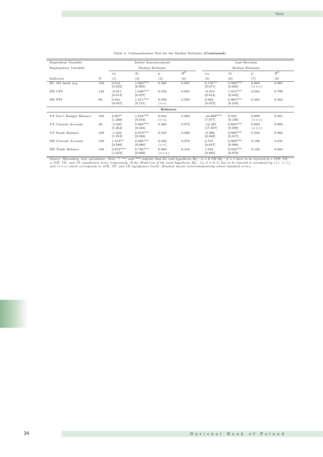| Dependent Variable:     |     |                       | Initial Announcement  |                    |       |                         |                       | Last Revision       |       |
|-------------------------|-----|-----------------------|-----------------------|--------------------|-------|-------------------------|-----------------------|---------------------|-------|
| Explanatory Variable:   |     |                       | Median Estimate       |                    |       |                         |                       | Median Estimate     |       |
|                         |     | $\alpha_3$            | $\beta_3$             | $\boldsymbol{p}$   | $R^2$ | $\alpha_4$              | $\beta_4$             | $\boldsymbol{p}$    | $R^2$ |
| Indicator               | N   | (1)                   | (2)                   | (3)                | (4)   | (5)                     | (6)                   | (7)                 | (8)   |
| EU M3 3mth avg          | 103 | 0.012<br>[0.035]      | $1.002***$<br>[0.005] | 0.360              | 0.997 | $0.176**$<br>[0.071]    | $0.990***$<br>[0.009] | 0.009<br>$(+++)$    | 0.987 |
| DE CPI                  | 132 | $-0.011$<br>[0.013]   | $1.036***$<br>[0.037] | 0.522              | 0.825 | $-0.014$<br>[0.014]     | $1.013***$<br>[0.043] | 0.594               | 0.786 |
| DE PPI                  | 88  | 0.041<br>[0.047]      | $1.211***$<br>[0.151] | 0.030<br>$(++)$    | 0.583 | 0.062<br>[0.072]        | $0.985***$<br>[0.218] | 0.356               | 0.363 |
|                         |     |                       |                       | <b>Balances</b>    |       |                         |                       |                     |       |
| US Gov't Budget Balance | 105 | 2.907*<br>[1.488]     | $1.034***$<br>[0.016] | 0.044<br>$(++)$    | 0.963 | $-44.888***$<br>[7.077] | 0.032<br>[0.106]      | 0.000<br>$(+ + + )$ | 0.001 |
| US Current Account      | 36  | $-5.530$<br>[5.264]   | $0.960***$<br>[0.033] | 0.360              | 0.973 | $-12.367$<br>[17.397]   | $0.863***$<br>[0.099] | 0.000<br>$(+++)$    | 0.800 |
| US Trade Balance        | 108 | $-1.333$<br>[1.253]   | $0.973***$<br>[0.024] | 0.535              | 0.928 | $-0.296$<br>[0.842]     | $0.989***$<br>[0.017] | 0.556               | 0.962 |
| DE Current Account      | 100 | $1.313**$<br>[0.586]  | $0.896***$<br>[0.080] | 0.036<br>$(++)$    | 0.578 | 0.747<br>[0.647]        | $0.969***$<br>[0.080] | 0.198               | 0.631 |
| DE Trade Balance        | 106 | $3.672***$<br>[1.054] | $0.736***$<br>[0.089] | 0.000<br>$(+ + +)$ | 0.416 | 1.024<br>[0.885]        | $0.943***$<br>[0.070] | 0.122               | 0.684 |

#### Table 4: Unbiasedendess Test for the Median Estimate (Continued)

Source: Bloomberg, own calculation. Note: \*, \*\*, and \*\*\* indicate that the null hypothesis  $H_0$ :  $\alpha = 0$  OR  $H_0$ :  $\beta = 1$  have to be rejected at a 10%, 5%,<br>a 10%, 5%, and 1% significance level, respectively. If the Wald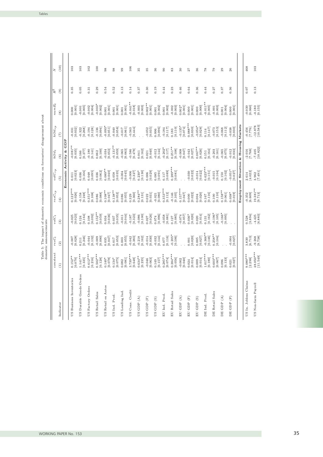Tables

 $\ddot{\phantom{a}}$ 

 $\overline{\phantom{a}}$ 

| i<br>io | Fhailmnnat af<br>тие ини |  |  | of domestic economic conditions on forecasters' | $\ddot{\phantom{a}}$<br>us disagree- |
|---------|--------------------------|--|--|-------------------------------------------------|--------------------------------------|
|         | stic announcements       |  |  |                                                 |                                      |

| $\widehat{e}$<br>$\circledast$<br>$hOil_{rp}$<br>$\widehat{E}$ |                     | 0.35                    | 0.05                    |                       |                       |                      |                        |                                          | 106                                            | 33                    | 33                     | 36                  | $_{\odot}$            | 83                                             | $\boldsymbol{30}$                        | 27                         | 36                   | 87                                                                 | 54                    | $^{29}$              | 26                   |                      | 468                                                      | 103                                              |
|----------------------------------------------------------------|---------------------|-------------------------|-------------------------|-----------------------|-----------------------|----------------------|------------------------|------------------------------------------|------------------------------------------------|-----------------------|------------------------|---------------------|-----------------------|------------------------------------------------|------------------------------------------|----------------------------|----------------------|--------------------------------------------------------------------|-----------------------|----------------------|----------------------|----------------------|----------------------------------------------------------|--------------------------------------------------|
|                                                                |                     |                         |                         | 0.31                  | 0.29                  | 0.54                 | 0.52                   | 0.13                                     | 0.14                                           | 0.37                  | 0.30                   | 0.19                | 0.44                  | 0.23                                           | 0.46                                     | 0.64                       | 0.36                 | 0.44                                                               | 0.27                  | 0.37                 | 0.36                 |                      | 0.07                                                     | 0.13                                             |
|                                                                |                     | [0.001]<br>0.000        | $-0.001$ [0.065]        | [0.004]<br>$-0.002$   | $-0.003*$<br>[0.002]  | [0.001]<br>0.001     | [0.001]<br>0.001       | $[0.001]$                                | $-0.041**$<br>[0.018]                          | $-0.003$ [0.003]      | $0.002**$<br>[0.001]   | $0.001$ [0.002]     | $0.001$ $[0.002]$     | $-0.002$<br>[0.003]                            | $0.002*$<br>[0.001]                      | [0.001]<br>0.000           | [0.000]<br>0.000     | $-0.011**$<br>[0.005]                                              | [0.003]<br>$-0.001$   | [0.004]<br>0.001     | [0.001]<br>0.000     |                      | $-0.030$<br>[0.060]                                      | $-0.180$ [0.155]                                 |
|                                                                |                     | [0.032]<br>$-0.031$     | $-0.322$<br>[0.268]     | [0.128]<br>$-0.194$   | [0.094]<br>$-0.136$   | $-0.093*$<br>[0.051] | $-0.040$<br>[0.058]    | $-0.017$<br>[190.0]                      | $-0.563$<br>[0.444]                            |                       | $-0.052$ [0.035]       | [0.096]<br>0.006    | $-0.184$ [0.117]      | $\begin{bmatrix} 0.183 \\ 0.110 \end{bmatrix}$ | $-0.135*$<br>[0.074]                     | $0.088***$<br>$[0.030]$    | $-0.054*$<br>[0.028] | [0.147]<br>$\rm 0.114$                                             | $-0.073$<br>[0.153]   | $-0.068$<br>[0.112]  | $-0.038$<br>[0.030]  | Markets              | [27.7]                                                   | $\begin{bmatrix} 12.878 \\ 10.583 \end{bmatrix}$ |
| $\widehat{6}$                                                  | GDP                 | $-0.081**$<br>[0.035]   | $0.166$<br>[0.277]      | [0.141]<br>$-0.180$   | [0.100]<br>0.062      | [0.053]<br>$-0.034$  | $-0.131***$<br>[0.059] | $-0.065$ [0.063]                         | [0.586]                                        | [0.162]<br>0.041      | [0.040]<br>0.021       | $-0.012$<br>[0.144] | $-0.202*$<br>[0.117]  | $0.251**$<br>[0.108]                           | [0.047]                                  | $-0.043$<br>[0.027]        | $0.067**$<br>[0.026] | $\begin{array}{c} 0.151 \\ \textbf{[}0.164 \textbf{]} \end{array}$ | [0.161]<br>$-0.203$   | $-0.065$<br>[0.075]  | $-0.012$<br>[0.033]  | $\&$ Housing         | $\frac{-2.016}{[7.768]}$                                 | $-7.405$<br>[10.822]                             |
| $volC_{\tau p}$<br>$\widehat{5}$                               | Economic Activity & | [0.023]<br>0.011        | [0.166]<br>0.036        | [0.095]<br>0.048      | [0.062]<br>0.036      | $0.089**$<br>[0.040] | [0.035]<br>0.058       | [0.045]<br>$-0.004$                      | $-0.006$<br>[0.327]                            | [0.130]<br>$0.230*$   | [0.029]<br>0.006       | [0.091]<br>0.085    | [6.0117]              | $0.289***$<br>$[0.081]$                        |                                          | $-0.030$<br>[0.022]        | [0.022]<br>$-0.014$  | $0.623***$<br>[0.151]                                              | [0.104]<br>$-0.015$   | [0.102]<br>0.150     | $-0.051*$<br>[0.027] | Employment Situation | $2.614$<br>[4.022]                                       | [7.491]                                          |
| $resC_{rp}$<br>(4)                                             |                     | $0.122***$<br>[0.026]   | $-0.158$<br>[0.248]     | $0.351***$<br>[0.108] | [0.086]               | $0.108**$<br>[0.047] | $0.138**$<br>[0.052]   | $0.086$<br>$[0.055]$                     | $\begin{bmatrix} 0.329 \\ 0.360 \end{bmatrix}$ | $0.284***$<br>[0.131] | [0.022]                | $-0.021$<br>[0.080] | $0.353***$<br>[0.112] | $-0.146$<br>[0.105]                            | $0.157***$<br>[0.047]                    | $0.000$<br>$[0.022]$       | [0.020]<br>0.004     | [0.167]                                                            | $0.100$<br>$[0.110]$  | $0.158**$<br>[0.061] | $0.038*$<br>[0.019]  |                      | $-0.352$<br>[6.609]                                      | $\frac{19.381***}{[9.713]}$                      |
| $\binom{3}{2}$                                                 |                     | $-0.025$<br>[0.023]     | [0.124]                 | [0.092]<br>0.108      | $0.152**$<br>[0.059]  | [0.036]<br>0.034     | [0.035]<br>0.037       | $-0.011$<br>[0.044]                      | [0.323]<br>$-0.187$                            | $-0.086$<br>[0.100]   | [0.026]<br>0.027       | $0.074$<br>[0.096]  | $-0.058$<br>[0.081]   | $[0.127$<br>[0.085]                            | $-0.074$<br>[0.057]                      | [0.020]<br>$0.036*$        | [0.014]<br>0.020     | [0.131]                                                            | $-0.196*$<br>[0.105]  | $-0.166*$<br>[0.095] |                      |                      | $\left[ 3.894\right]$                                    | $-4.425$<br>[6.883]                              |
| (2)                                                            |                     | [0.007                  | [0.211]                 | [0.132]<br>$-0.044$   | [0.090]<br>$-0.009$   | [0.047]<br>0.035     | [0.053]<br>$0.017$     | [0.003]                                  | [0.383]                                        | $-0.218$ [0.162]      | [0.030]<br>$-0.014$    | $-0.032$<br>[0.144] | [0.116]               | $-0.205*$<br>[0.106]                           |                                          | [0.020]<br>0.001           | [0.027]<br>0.005     | $-0.366**$<br>[0.146]                                              | $0.258**$<br>[0.104]  |                      | $-0.004$<br>[0.027]  |                      | $\begin{array}{c} 3.830 \\ \textbf{[6.713]} \end{array}$ | $-9.268$<br>[9.738]                              |
| $\widehat{E}$                                                  |                     | $0.152**$<br>[0.070]    | $1.141***$<br>[0.335]   | $0.612***$<br>[0.216] | $0.502***$<br>[0.128] | [0.078]<br>$0.140*$  | $0.134*$<br>[0.075]    | $\begin{array}{c} 0.082 \\  \end{array}$ | $3.739***$<br>[0.648]                          | $0.634**$<br>[0.235]  | $-0.046$<br>[0.063]    | [0.149]             | $0.285***$            | $0.384***$<br>[0.056]                          | $-0.002$<br>[0.040]                      | $0.024$ [0.014]            | [0.014]<br>0.009     | $1.017***$<br>[0.180]                                              | $0.603***$<br>[0.067] | [0.133]<br>0.096     | $0.021$ [0.027]      |                      | $\begin{array}{c} 0.080^{***} \\ [2.298] \end{array}$    | $48.050***$<br>[11.549]                          |
| Indicator                                                      |                     | US Business Inventories | US Durable Goods Orders | Orders<br>US Factory  | US Retail Sales       | US Retail ex Autos   | US Ind. Prod.          | US Leading Ind.                          | US Cons. Credit                                | US GDP $(A)$          | US GDP $(\mathcal{F})$ | US GDP $(S)$        | EU Ind. Prod.         | EU Retail Sales                                | ${\mathop{\rm EU}}$ GDP $({\mathcal A})$ | ${\rm EU}$ GDP $({\rm F})$ | ${\rm EU}$ GDP (S)   | DE Ind. Prod.                                                      | DE Retail Sales       | DE GDP $(A)$         | DE GDP $(F)$         |                      | US In. Jobless Claims                                    | US Non-farm Payroll                              |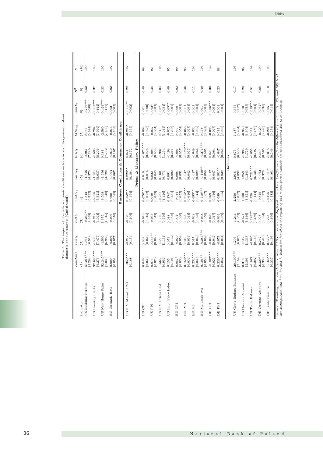|                                                                                                                           | $R^2$<br>$numE_t$<br>$hOil_{\scriptscriptstyle \it TP}$ | $\widehat{a}$<br>$\left( 8\right)$<br>(7) | $\frac{52}{2}$<br>$\frac{10.750***}{[0.088]}$<br>[6.944]<br>0.077 | 0.37<br>$-0.893***$<br>[0.142]<br>[7.966]<br>$-0.204$ | 0.33<br>$-0.424***$<br>[0.112]<br>$-2.569$<br>[7.430]                 | 0.02<br>[0.002]<br>0.002<br>[0.103]<br>$-0.014$ | Confidence                  | 0.22<br>$-0.005**$<br>[0.002]<br>$-0.295*$<br>[0.165]                  |                          | 0.49<br>[0.000]<br>0.001<br>[0.023]<br>$-0.008$                          | 0.35<br>$0.002*$<br>[0.064]<br>$-0.037$                                         | 0.04<br>[0.051]<br>0.067<br>[1.212]<br>0.813 | 0.49<br>$0.005**$<br>[0.002]<br>[0.205]<br>$-0.025$ | 0.02<br>[0.001]<br>0.000<br>[0.054]<br>0.009 | 0.46<br>[0.001]<br>$-0.001$<br>$-0.056$<br>[0.057] | 0.11<br>[0.001]<br>[0.052]<br>$-0.032$      | 0.40<br>[0.003]<br>0.001<br>[0.082]<br>0.058    | 0.30<br>$0.006***$<br>[0.001]<br>[0.067]<br>$-0.095$ | 0.23<br>[0.001]<br>$-0.001$<br>[0.056]<br>0.082 |          | 0.17<br>[0.217]<br>$-0.355$<br>[6.484]<br>1.487 | 0.28<br>[0.055]<br>0.070<br>[1.601]<br>$-0.950$       | 0.51<br>$0.019***$<br>[0.004]<br>[0.180]<br>0.092 | 0.05<br>$-0.052*$<br>[0.030]<br>[0.496]<br>$-0.129$ |
|---------------------------------------------------------------------------------------------------------------------------|---------------------------------------------------------|-------------------------------------------|-------------------------------------------------------------------|-------------------------------------------------------|-----------------------------------------------------------------------|-------------------------------------------------|-----------------------------|------------------------------------------------------------------------|--------------------------|--------------------------------------------------------------------------|---------------------------------------------------------------------------------|----------------------------------------------|-----------------------------------------------------|----------------------------------------------|----------------------------------------------------|---------------------------------------------|-------------------------------------------------|------------------------------------------------------|-------------------------------------------------|----------|-------------------------------------------------|-------------------------------------------------------|---------------------------------------------------|-----------------------------------------------------|
| Table 5: The impact of domestic economic conditions on forecasters' disagreement about domestic announcements (Continued) | $hOil_t$<br>$vol C_{\scriptsize{rp}}$                   | $\widehat{6}$<br>(5)                      | $\frac{-3.961}{[7.240]}$<br>$\frac{-1.826}{[4.373]}$              | [8.296]<br>$-0.533$<br>[5.037]<br>$-1.201$            | [7.712]<br>0.181<br>[4.720]<br>$-4.996$                               | $-0.010$<br>[0.107]<br>$-0.004$<br>[0.067]      | Consumer<br>¥<br>Conditions | $\begin{bmatrix} 0.074 \\ 0.172 \end{bmatrix}$<br>$0.229**$<br>[0.104] | Prices & Monetary Policy | $-0.073***$<br>[0.026]<br>$\begin{bmatrix} 0.010 \\ 0.016 \end{bmatrix}$ | [0.068]<br>$-0.094$<br>$\begin{array}{c} 0.022 \\ \textbf{[0.043]} \end{array}$ | [1.254]<br>$-0.937$<br>[0.771]<br>0.160      | [0.211]<br>$-0.198$<br>[0.092]<br>0.091             | [0.057]<br>$-0.001$<br>[0.031]<br>0.006      | $-0.170***$<br>[0.057]<br>[0.042]<br>$-0.047$      | [0.054]<br>$-0.049$<br>[0.029]<br>$-0.037$  | $-0.271***$<br>[0.085]<br>$-0.110**$<br>[0.050] | [0.064]<br>0.026<br>[0.047]<br>$-0.012$              | [0.056]<br>$-0.047$<br>$0.101**$<br>[0.039]     | Balances | [6.863]<br>0.675<br>[4.092]<br>3.918            | [1.729]<br>$-0.998$<br>$1.259$<br>[1.243]             | [0.197]<br>$-0.055$<br>$0.721**$<br>[0.136]       | [0.505]<br>0.340<br>[0.379]<br>$-0.062$             |
|                                                                                                                           | $resC_{rp}$<br>$volC_t$                                 | $\overline{4}$<br>$\binom{3}{2}$          | $\frac{-1.812}{[6.592]}$<br>$-9.249*$<br>[4.338]                  | [7.521]<br>$-3.896$<br>[4.963]<br>$-6.212$            | [6.948]<br>$-6.568$<br>$\begin{bmatrix} 1.375 \\ 4.615 \end{bmatrix}$ | [0.085]<br>0.000<br>$-0.003$<br>[0.070]         | <b>Business</b>             | $0.352***$<br>[0.154]<br>$-0.125$ [0.106]                              |                          | $0.076***$<br>[0.022]<br>$-0.010$<br>[0.015]                             | [0.059]<br>0.049<br>[0.043]<br>$-0.043$                                         | [1.126]<br>$-0.261$<br>[0.756]<br>0.300      | $0.254*$<br>[0.131]<br>[0.088]                      | [0.052]<br>$-0.014$<br>[0.030]<br>0.004      | $0.214***$<br>[0.046]<br>[0.043]<br>0.025          | $0.093**$<br>[0.044]<br>$-0.028$<br>[0.028] | $0.510***$<br>[0.067]<br>[0.050]<br>$-0.048$    | [0.046]<br>0.069<br>[0.047]<br>$-0.025$              | [0.055]<br>0.089<br>[0.039]<br>$-0.032$         |          | [6.092]<br>2.250<br>[4.053]<br>$-1.244$         | [1.321]<br>1.680<br>[1.146]<br>$-0.574$               | [0.144]<br>0.128<br>$0.285**$<br>[0.130]          | [778.0]<br>$-0.345$<br>[0.384]<br>0.098             |
|                                                                                                                           | $resC_t$<br>constant                                    | $\widehat{2}$<br>$\widehat{E}$            | [6.514]<br>6.933<br>57.218***<br>[3.264]                          | [7.475]<br>2.808<br>92.603***<br>[9.273]              | $\frac{1.506}{[6.986]}$<br>52.245***<br>[0.50, 7]                     | [0.077]<br>[0.052]<br>0.000                     |                             | $-0.212$<br>[0.154]<br>$1.355***$<br>[0.168]                           |                          | [0.023]<br>0.009<br>[0.033]<br>0.046                                     | $0.135***$<br>[0.060]<br>[0.070]<br>0.074                                       | [1.151]<br>0.350<br>[0.952]<br>1.563         | [0.132]<br>0.079<br>[0.101]<br>0.155                | [0.052]<br>$-0.020$<br>[0.030]<br>$0.057*$   | [0.053]<br>0.049<br>$0.150***$<br>[0.033]          | [0.040]<br>0.017<br>$0.232***$<br>[0.030]   | $-0.283***$<br>[0.062]<br>$0.106**$<br>[0.050]  | [0.046]<br>$-0.003$<br>$0.102***$<br>[0.026]         | [0.054]<br>$-0.071$<br>$0.229***$<br>[0.042]    |          | [6.075]<br>4.206<br>$20.199***$<br>[7.154]      | $[1.313] \label{eq:1}$<br>0.512<br>$[2.391]$<br>0.315 | [0.165]<br>$-0.095$<br>[0.292]<br>$-0.163$        | [0.410]<br>0.252<br>$2.320***$<br>[0.353]           |
|                                                                                                                           |                                                         | Indicator                                 | ermits<br>US Building I                                           | US Housing Starts                                     | Sales<br>US New Home                                                  | EU Unempl. Rate                                 |                             | US ISM Manuf. PMI                                                      |                          | US CPI                                                                   | US PPI                                                                          | Paid<br>US ISM Prices                        | US Imp. Price Index                                 | EU CPI                                       | EU PPI                                             | ${\rm EU~M3}$                               | ${\rm EU}$ M3 3mth avg                          | DE CPI                                               | DE PPI                                          |          | US Gov't Budget Balance                         | US Current Account                                    | US Trade Balance                                  | DE Current Account                                  |

Tables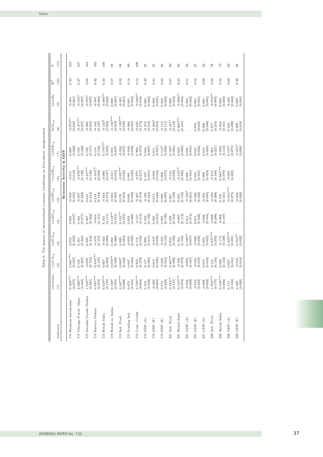| $\overline{\phantom{a}}$<br>ׇ֘֒<br>i<br>)<br>֦֦֦֧֦֦֦֦֧֦֦֧֦֧֦֧֚֚֚֚֚֚֬֝֝֬֝֬֝֝֬֝֬֝֬֝֬֝֬֝֬֝֬֝֓֝֬֓                                                                                                                                                                                                                                                                                                                                |
|------------------------------------------------------------------------------------------------------------------------------------------------------------------------------------------------------------------------------------------------------------------------------------------------------------------------------------------------------------------------------------------------------------------------------|
| í<br>ś<br>ï<br>ļ<br>$\overline{\phantom{a}}$<br>Ï                                                                                                                                                                                                                                                                                                                                                                            |
| $\frac{1}{2}$<br>;                                                                                                                                                                                                                                                                                                                                                                                                           |
| į<br>j<br>J<br>ï<br>j<br>֖֚֚֬֕֝֬֝֬֝֬֝֬֝֬֝֬֝֬֝֬֝֬֝֬֝֬֝֬֝֬֝֬֝֬֝                                                                                                                                                                                                                                                                                                                                                                |
| ¢<br>ì<br>$\frac{1}{2}$<br>S<br>h<br>J<br>I<br>I                                                                                                                                                                                                                                                                                                                                                                             |
| ĵ<br>$\frac{1}{2}$<br>J<br>֖֖֖֖֚֚֚֚֚֚֬                                                                                                                                                                                                                                                                                                                                                                                       |
|                                                                                                                                                                                                                                                                                                                                                                                                                              |
| $\begin{array}{c} \n\text{1} & \text{1} & \text{1} & \text{1} & \text{1} & \text{1} & \text{1} & \text{1} & \text{1} & \text{1} & \text{1} & \text{1} & \text{1} & \text{1} & \text{1} & \text{1} & \text{1} & \text{1} & \text{1} & \text{1} & \text{1} & \text{1} & \text{1} & \text{1} & \text{1} & \text{1} & \text{1} & \text{1} & \text{1} & \text{1} & \text{1} & \text{1} & \text{1} & \text{1} & \text{1} & \$<br>ï |
| ١<br>į<br>İ                                                                                                                                                                                                                                                                                                                                                                                                                  |
| ś                                                                                                                                                                                                                                                                                                                                                                                                                            |
| j<br>ť<br>l<br>ے۔<br>a                                                                                                                                                                                                                                                                                                                                                                                                       |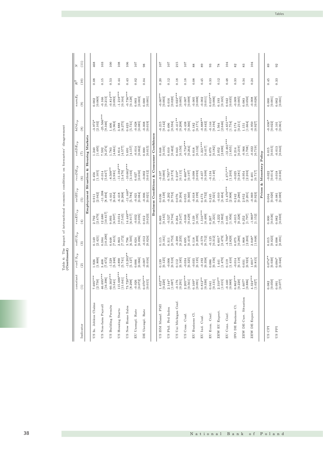| Z                               | (11)                   |                                        | 468                   | 103                     | 100                    | 108                     | 106                                   | 107                 | 98                    |                                           | 107                   | 107                  | 215                   | 107                    | 88                  | 89                    | 93                    | 78                   | 104                     | 82                    | 83                             | 104                   |                          | 89                                        |  |
|---------------------------------|------------------------|----------------------------------------|-----------------------|-------------------------|------------------------|-------------------------|---------------------------------------|---------------------|-----------------------|-------------------------------------------|-----------------------|----------------------|-----------------------|------------------------|---------------------|-----------------------|-----------------------|----------------------|-------------------------|-----------------------|--------------------------------|-----------------------|--------------------------|-------------------------------------------|--|
| $R^2$                           | (10)                   |                                        | 0.08                  | 0.15                    | 0.53                   | 0.44                    | 0.43                                  | 0.02                | 0.04                  |                                           | 0.20                  | 0.12                 | 0.18                  | 0.18                   | 0.08                | 0.45                  | 0.33                  | 0.12                 | 0.48                    | 0.33                  | 0.34                           | 0.24                  |                          | 0.45                                      |  |
| $numE_t$                        | $\widehat{e}$          |                                        | [0.069]<br>0.002      | [0.213]<br>$-0.166$     | $-0.814***$<br>[0.093] | $-1.218***$<br>[0.164]  | $0.736***$<br>[0.128]                 | [0.003]<br>0.003    | [0.001]<br>0.000      |                                           | $0.007**$<br>[0.003]  | [0.020]<br>0.016     | $0.023***$<br>[0.005] | [0.009]<br>$-0.007$    | [0.008]<br>$-0.005$ | [0.002]               | $0.019***$<br>[0.006] | [0.165]<br>0.193     | [0.035]<br>0.042        | $-0.009$<br>[0.005]   | [0.050]<br>0.083               | [0.008]               |                          | [0.001]<br>0.000                          |  |
| $hOil_{rp}$                     | $\circled{s}$          |                                        | $-3.972*$<br>[2.102]  | $-25.566***$<br>[9.346] | [5.963]<br>1.406       | $3.888$<br>[6.275]      | $[5.731]$<br>0.623                    | $-0.028$ [0.085]    | [0.019]<br>$-0.008$   |                                           | $-0.215$<br>[0.142]   | [0.594]<br>0.496     | $-0.411**$<br>[0.208] | [0.366]<br>$-0.438$    | [0.171]<br>0.182    | $-0.888**$<br>[0.442] | [0.194]<br>$-0.144$   | [2.646]<br>1.564     | $-4.651***$<br>[1.754]  | [0.211]<br>$0.174\,$  | $1.151$<br>[1.664]             | $-0.950$ [0.927]      |                          | $-0.036*$<br>[0.022]                      |  |
| $volDE_{rp}$                    | $\widehat{E}$          | Employment Situation & Housing Markets | [1.495]<br>1.240      | [6.274]<br>7.592        | [4.661]<br>1.783       | [4.577]<br>3.814        | [4.157]<br>5.691                      | [0.062]<br>$-0.014$ | [0.015]<br>0.000      | Business Conditions & Consumer Confidence | [0.101]<br>0.048      | [0.462]<br>0.010     | [0.150]<br>0.043      | $-0.734***$<br>[0.264] | [0.132]<br>0.018    | $1.221***$<br>[0.417] | [0.182]<br>0.070      | [2.690]<br>2.052     | $-12.461***$<br>[1.655] | [0.219]<br>0.214      | [1.708]<br>$-0.966$            | $-0.022$<br>[0.719]   |                          | $\left[0.015\right]$ $\left[0.015\right]$ |  |
| $resDE_{rp}$                    | $\widehat{\mathbf{e}}$ |                                        | [1.105]<br>0.456      | [5.647]<br>$-0.014$     | $-8.509**$<br>[3.981]  | $-11.184***$<br>[3.470] | $-10.662***$<br>[3.103]               | [0.050]<br>0.027    | $-0.002$<br>[0.012]   |                                           | [0.080]<br>$-0.107$   | $0.795**$<br>[0.373] | [0.115]<br>$0.210*$   | $0.460**$<br>[0.197]   | [0.093]<br>$-0.098$ | [0.309]<br>$-0.457$   | [0.140]<br>$-0.134$   |                      | $4.371***$<br>[1.203]   | [0.281]<br>$-0.025$   | [2.203]<br>$-0.954$            | [717]<br>0.401        | Prices & Monetary Policy | [0.014]<br>$-0.022$                       |  |
| $volEU_{rp}$                    | $\widehat{5}$          |                                        | [2.042]<br>0.911      | $-11.398$<br>[8.494]    | [6.654]<br>$-4.441$    | $-6.418$<br>[6.268]     | $-11.440*$<br>[5.784]                 | [0.084]<br>$-0.021$ | $-0.006$<br>[0.021]   |                                           | [0.139]<br>0.036      | $-0.202$<br>[0.753]  | [0.204]<br>0.076      | [0.360]<br>0.055       | $-0.018$<br>[0.199] | [0.732]<br>0.473      | [0.321]<br>0.245      | [3.464]<br>$-4.010$  | $15.470***$<br>[2.908]  | [0.280]<br>0.242      | $\left[ 2.201\right]$<br>2.952 | [0.923]<br>$-0.069$   |                          | [0.020]<br>0.004                          |  |
| $resEU_{rp}$                    | $\left( 4\right)$      |                                        | [2.470]<br>2.792      | [10.617]<br>12.680      | [6.907]<br>9.093       | [7.545]<br>10.014       | 14.449**<br>[6.917]                   | $-0.032$<br>[0.095] | [0.023]<br>0.012      |                                           | [0.165]<br>0.069      | [0.704]<br>$-0.527$  | [0.247]<br>0.264      | [0.429]<br>$-0.048$    | [0.195]<br>0.139    | $1.516***$<br>[0.499] | [0.221]<br>0.267      | [2.862]<br>$-4.222$  | [1.956]<br>0.105        | [0.228]<br>$-0.015$   | [7.67.1]<br>0.252              | $-1.969*$<br>[1.152]  |                          | $0.000$<br>[ $0.036$ ]                    |  |
| $volUS_{\scriptscriptstyle TP}$ | $\widehat{a}$          |                                        | [2.421]<br>0.149      | [10.290]<br>0.384       | [7.615]<br>0.648       | [7.172]<br>2.863        | [6.505]<br>3.796                      | [0.096]<br>0.024    | [0.024]<br>$-0.012$   |                                           | [0.161]<br>0.115      | [0.753]<br>0.311     | [0.235]<br>$-0.200$   | [0.419]<br>0.695       | [0.209]<br>0.118    | [0.712]<br>$-0.579$   | [0.312]<br>$-0.125$   | [3.479]<br>$6.601*$  | $4.700*$<br>[2.829]     | [0.280]<br>0.075      | [2.203]<br>1.868               | [1.048]<br>$2.048*$   |                          | $[0.015$<br>$[0.023]$                     |  |
| $resUS_{rp}$                    | $\widehat{2}$          |                                        | $1.926$<br>[1.800]    | [7.672]<br>3.408        | [5.248]<br>$-1.529$    | $-4.890$<br>[5.741]     | $-13.203**$<br>$[5.127] \label{eq:3}$ | [0.066]<br>0.006    | [0.016]<br>$-0.007$   |                                           | [0.125]<br>0.139      | [0.518]<br>$-0.006$  | [0.185]<br>0.112      | [0.325]<br>$-0.034$    | [0.135]<br>$-0.035$ | [0.358]<br>$-0.192$   | [0.156]<br>0.086      | [1.470]<br>1.441     | [1.410]<br>0.119        | [0.118]<br>$-0.014$   | [0.923]<br>0.031               | [0.815]<br>$1.601*$   |                          | $0.074**$<br>[0.030]                      |  |
| constant                        | $\widehat{E}$          |                                        | 7.695***<br>[2.750]   | 46.695***<br>[16.396]   | $60.303***$<br>[3.541] | 115.688***<br>[11.041]  | $73.720***$<br>[8.298]                | [0.072]<br>$-0.026$ | $0.070***$<br>[0.015] |                                           | $1.452***$<br>[0.220] | [1.087]<br>$2.144*$  | [0.291]<br>$-0.176$   | $2.205***$<br>[0.561]  | $0.169*$<br>[0.091] | $0.812**$<br>[0.330]  | [0.131]<br>0.041      | $2.310**$<br>[1.015] | [0.989]<br>$-0.440$     | $0.863***$<br>[0.220] | [0.886]<br>$1.607*$            | $4.324***$<br>[1.027] |                          | [0.050]<br>0.082                          |  |
|                                 | Indicator              |                                        | US In. Jobless Claims | US Non-farm Payroll     | US Building Permits    | US Housing Starts       | US New Home Sales                     | EU Unempl. Rate     | DE Unempl. Rate       |                                           | US ISM Manuf. PMI     | US Phil. Fed Index   | US Uni Michigan Conf. | US Cons. Conf.         | EU Business Cl.     | EU Ind. Conf.         | EU Econ. Conf.        | ZEW EU Expect.       | EU Cons. Conf.          | IFO DE Business Cl.   | ZEW DE Curr. Situation         | ZEW DE Expect.        |                          | US CPI                                    |  |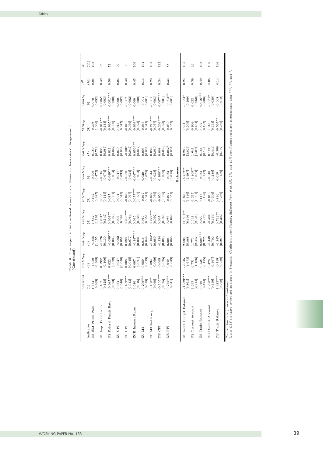| $\ddot{\circ}$<br>¢<br>$\omega$ | I<br>l<br>j<br>ł | $\frac{1}{2}$<br>ı<br>ı<br>֖֖֖֖֖֖֧ׅ֖֖֧֚֚֚֚֚֚֚֚֚֚֚֚֚֚֚֚֚֚֚֚֚֚֚֚֚֚֚֚֚֚֚֬֕֓֝֝֝ | í<br>l | l<br>$\overline{a}$ | j<br>.<br>.<br>.<br>.<br>.<br>ׇ֚֕֕֡<br>í<br>֕<br>j | ֖֖֖֖֧ׅ֧ׅ֖֧֧֪ׅ֪֧֪֪ׅ֪֪ׅ֪֪֪֪֪֪֪֪֪֪֪֪֪֪֪֪֪֪֪֪֪֪֪֪֪֪֪֚֚֚֚֚֚֚֚֚֚֚֚֚֚֚֚֚֚֚֚֚֚֚֚֚֚֚֚֚֡֝֝֬֓֝֓֞֝֬֓֬֝֓<br>$\begin{array}{c} \n\vdots \\ \vdots \\ \vdots\n\end{array}$<br>í<br>l<br>$\frac{1}{2}$<br>ı<br>i<br>ı<br>l<br>j | ă<br>י | i<br>ï<br>ı | í |
|---------------------------------|------------------|-----------------------------------------------------------------------------|--------|---------------------|----------------------------------------------------|-----------------------------------------------------------------------------------------------------------------------------------------------------------------------------------------------------------------|--------|-------------|---|
|                                 |                  |                                                                             |        |                     |                                                    |                                                                                                                                                                                                                 |        |             |   |

| 0.49<br>0.05<br>(10)<br>$R^2$<br>$numE_t$<br>[0.003]<br>$0.005*$<br>[0.052]<br>0.070<br>$\widehat{E}$<br>$-0.317**$<br>$hOil_{rp}$<br>$-0.308$ [1.006]<br>[0.133]<br>$\circ$<br>$_{volDE_{rp}}$<br>$\frac{617.0}{631.719}$<br>$0.035$<br>[0.087]<br>$\widehat{E}$<br>$resDE_{rp}$<br>[0.472]<br>[0.015]<br>$-0.399$<br>$\widehat{6}$<br>$volEU_{rp}$<br>[786.0]<br>[0.115]<br>0.065<br>0.462<br>$\widehat{5}$                                                                                                                                                                                                                                                                                                                    |  |  | 0.56<br>$0.001***$<br>[0.000]<br>$-0.095***$<br>[0.030]<br>[0.022]<br>0.011<br>$0.049***$<br>[0.014]<br>[0.031]<br>0.047 | 0.03<br>[0.002]<br>0.000<br>$\begin{bmatrix} 0.015 \\ 0.047 \end{bmatrix}$<br>$0.019$ [0.034]<br>[0.033]<br>$-0.017$<br>[0.045]<br>$_{0.001}$ | 0.40<br>[0.002]<br>$-0.002$<br>[0.059]<br>$-0.070$<br>[0.047]<br>$-0.007$<br>[0.034]<br>$-0.050$<br>$-0.028$<br>[0.067] | 0.45<br>[0.000]<br>0.000<br>$-0.093***$<br>[0.023]<br>$0.056***$<br>[0.017]<br>$0.047***$<br>[0.013]<br>$0.077***$<br>[0.027] | $\,0.13$<br>[0.001]<br>[0.043]<br>$-0.063$<br>[0.032]<br>0.003<br>[0.025]<br>0.020<br>[0.043]<br>$-0.067$ | 0.23<br>[0.003]<br>$-0.001$<br>$-0.210***$<br>[770.0]<br>[0.060]<br>0.039<br>[0.038]<br>$-0.044$<br>[0.079]<br>$-0.022$ | 0.34<br>$0.007***$<br>[0.001]<br>$-0.203***$<br>[0.073]<br>[0.039]<br>0.008<br>$0.108***$<br>[0.038]<br>$-0.050$<br>[0.056] | 0.33<br>$-0.003**$<br>[0.001]<br>$-0.039$<br>$[0.052]$<br>$0.062*$<br>[0.037]<br>$-0.032$<br>[0.028]<br>[0.053]<br>$-0.017$ | <b>Balances</b> | 0.24<br>$-0.354*$<br>[0.209]<br>[5.209]<br>0.891<br>[3.825]<br>3.203<br>$-5.762**$<br>[2.497]<br>[5.146]<br>$-1.823$ | 0.39<br>[0.060]<br>0.022<br>$\left[2.184\right]$<br>$-0.909$<br>[1.091]<br>1.641<br>$-1.809**$<br>[0.854]<br>[1.901]<br>$-1.217$ | 0.49<br>$0.016***$<br>[0.006]<br>[0.092]<br>[0.144]<br>0.161<br>[0.122]<br>$-0.083$<br>[0.196]<br>0.117 | 0.05<br>$-0.051*$<br>[0.030]<br>[0.553]<br>0.013<br>[0.444]<br>0.177<br>[0.289]<br>$-0.040$<br>[0.706]<br>$-0.013$ | 0.14<br>$-0.008$ [0.012]<br>$-0.567***$<br>[0.256]<br>$-0.306$ [0.197]<br>[0.018]<br>[0.226] |
|----------------------------------------------------------------------------------------------------------------------------------------------------------------------------------------------------------------------------------------------------------------------------------------------------------------------------------------------------------------------------------------------------------------------------------------------------------------------------------------------------------------------------------------------------------------------------------------------------------------------------------------------------------------------------------------------------------------------------------|--|--|--------------------------------------------------------------------------------------------------------------------------|-----------------------------------------------------------------------------------------------------------------------------------------------|-------------------------------------------------------------------------------------------------------------------------|-------------------------------------------------------------------------------------------------------------------------------|-----------------------------------------------------------------------------------------------------------|-------------------------------------------------------------------------------------------------------------------------|-----------------------------------------------------------------------------------------------------------------------------|-----------------------------------------------------------------------------------------------------------------------------|-----------------|----------------------------------------------------------------------------------------------------------------------|----------------------------------------------------------------------------------------------------------------------------------|---------------------------------------------------------------------------------------------------------|--------------------------------------------------------------------------------------------------------------------|----------------------------------------------------------------------------------------------|
| $resEU_{rp}$<br>$0.203***$<br>$0.272***$<br>$0.094***$<br>[0.036]<br>[0.064]<br>$0.005$ [0.062]<br>[0.028]<br>[1.191]<br>$0.281*$<br>[0.147]<br>[0.052]<br>[0.092]<br>[0.065]<br>[0.068]<br>0.035<br>0.019<br>0.097<br>0.086<br>1.842<br>$\widehat{f}$<br>$-0.099***$<br>$-0.147***$<br>$volUS_{rp}$<br>$-0.184**$<br>$-0.002$ [0.051]<br>[0.031]<br>$0.016$ [0.049]<br>[0.089]<br>[770.0]<br>[0.083]<br>[1.155]<br>[0.139]<br>[0.035]<br>[0.066]<br>$-0.134$<br>$-0.026$<br>$-0.355$<br>0.080<br>0.006<br>$\widehat{S}$<br>$resUS_{rp}$<br>[0.106]<br>[0.028]<br>$-0.027$ [0.050]<br>[0.045]<br>$0.007$ [0.021]<br>[0.059]<br>[0.908]<br>$0.198*$<br>[0.069]<br>$-0.005$ [0.025]<br>[0.049]<br>0.008<br>0.034<br>0.049<br>0.022 |  |  |                                                                                                                          |                                                                                                                                               |                                                                                                                         |                                                                                                                               |                                                                                                           |                                                                                                                         |                                                                                                                             |                                                                                                                             |                 | $14.501**$<br>[6.101]<br>[5.868]<br>2.839<br>$-2.345$<br>[4.673]                                                     | [2.303]<br>2.242<br>[2.447]<br>1.773<br>$\begin{bmatrix} 0.731 \\ 1.186 \end{bmatrix}$                                           | [0.226]<br>0.029<br>$0.605***$<br>[0.225]<br>$\begin{bmatrix} 0.138 \\ 0.155 \end{bmatrix}$             | [0.654]<br>$-0.407$<br>[0.702]<br>$-0.448$<br>[0.497]<br>0.478                                                     | $0.723**$<br>[0.302]<br>$-0.245$<br>[0.289]<br>$-0.118$ [0.228]                              |
| $\widehat{2}$<br>constant<br>$-0.087***$<br>$-0.105***$<br>$0.189***$<br>$0.209***$<br>$0.275***$<br>$0.138**$<br>[0.038]<br>[0.060]<br>[0.025]<br>$\begin{array}{c} 0.074 \\  \end{array}$ [0.046]<br>[0.043]<br>[0.016]<br>[0.023]<br>[0.041]<br>$\frac{1.572}{[0.969]}$<br>[0.128]<br>0.010<br>0.167<br>$\widehat{E}$                                                                                                                                                                                                                                                                                                                                                                                                         |  |  |                                                                                                                          |                                                                                                                                               |                                                                                                                         |                                                                                                                               |                                                                                                           |                                                                                                                         |                                                                                                                             |                                                                                                                             |                 | $21.229***$<br>$[6.861]$                                                                                             | [2.714]<br>2.695                                                                                                                 | [0.424]<br>0.040                                                                                        | $2.298***$<br>[0.359]                                                                                              | $1.425***$<br>[0.228]                                                                        |
| US Federal Funds Rate<br>US Imp. Price Index<br>US ISM Prices Paid<br><b>ECB</b> Interest Rates<br>${\rm EU~M3}$ 3mth avg<br>Indicator<br>EU CPI<br>DE CPI<br>EU PPI<br>DE PPI<br>EU M3                                                                                                                                                                                                                                                                                                                                                                                                                                                                                                                                          |  |  |                                                                                                                          |                                                                                                                                               |                                                                                                                         |                                                                                                                               |                                                                                                           |                                                                                                                         |                                                                                                                             |                                                                                                                             |                 | US Gov't Budget Balance                                                                                              | US Current Account                                                                                                               | US Trade Balance                                                                                        | DE Current Account                                                                                                 | DE Trade Balance                                                                             |